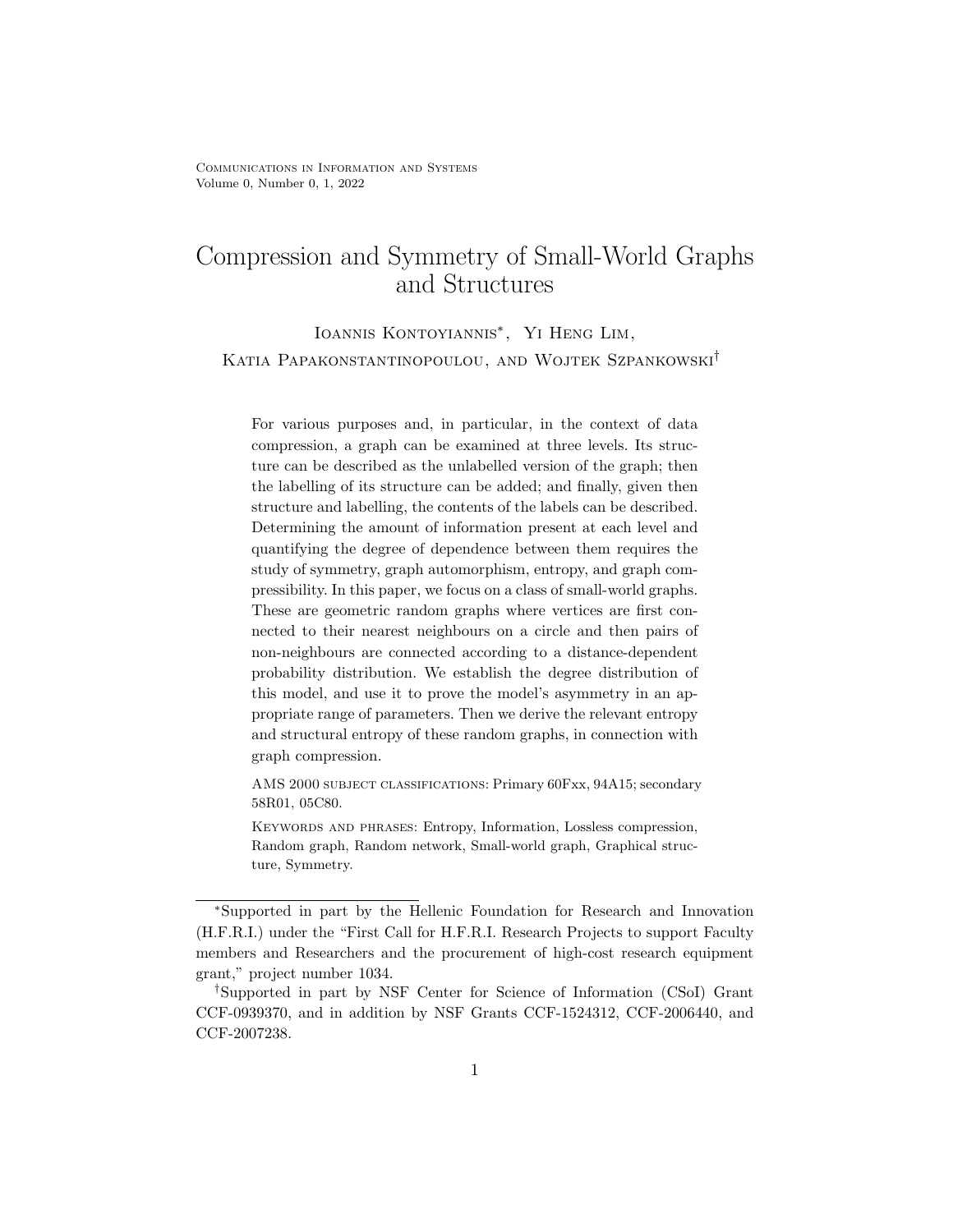Ioannis Kontoyiannis∗ , Yi Heng Lim, Katia Papakonstantinopoulou, and Wojtek Szpankowski†

For various purposes and, in particular, in the context of data compression, a graph can be examined at three levels. Its structure can be described as the unlabelled version of the graph; then the labelling of its structure can be added; and finally, given then structure and labelling, the contents of the labels can be described. Determining the amount of information present at each level and quantifying the degree of dependence between them requires the study of symmetry, graph automorphism, entropy, and graph compressibility. In this paper, we focus on a class of small-world graphs. These are geometric random graphs where vertices are first connected to their nearest neighbours on a circle and then pairs of non-neighbours are connected according to a distance-dependent probability distribution. We establish the degree distribution of this model, and use it to prove the model's asymmetry in an appropriate range of parameters. Then we derive the relevant entropy and structural entropy of these random graphs, in connection with graph compression.

AMS 2000 subject classifications: Primary 60Fxx, 94A15; secondary 58R01, 05C80.

Keywords and phrases: Entropy, Information, Lossless compression, Random graph, Random network, Small-world graph, Graphical structure, Symmetry.

<sup>∗</sup>Supported in part by the Hellenic Foundation for Research and Innovation (H.F.R.I.) under the "First Call for H.F.R.I. Research Projects to support Faculty members and Researchers and the procurement of high-cost research equipment grant," project number 1034.

<sup>†</sup>Supported in part by NSF Center for Science of Information (CSoI) Grant CCF-0939370, and in addition by NSF Grants CCF-1524312, CCF-2006440, and CCF-2007238.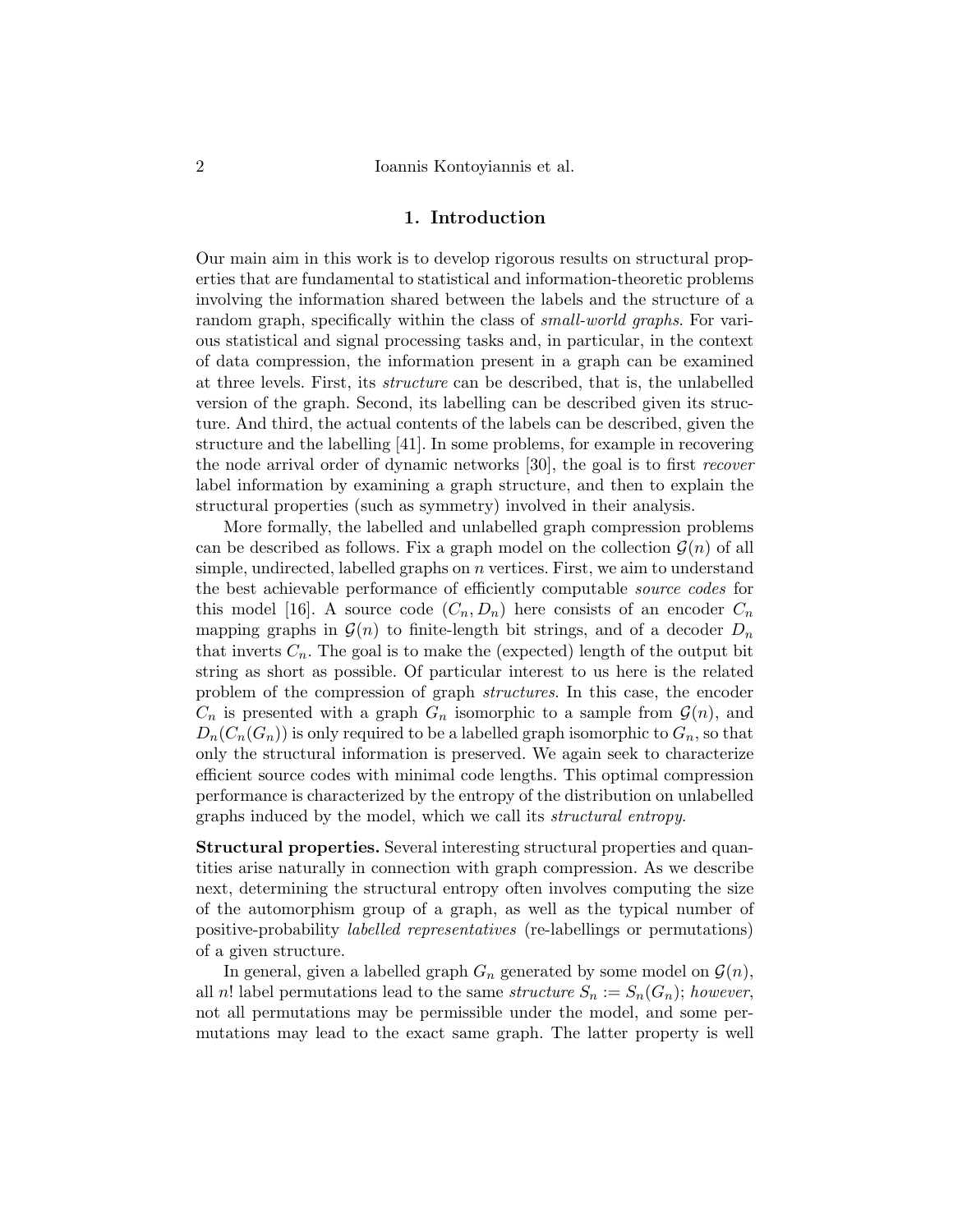### 1. Introduction

Our main aim in this work is to develop rigorous results on structural properties that are fundamental to statistical and information-theoretic problems involving the information shared between the labels and the structure of a random graph, specifically within the class of *small-world graphs*. For various statistical and signal processing tasks and, in particular, in the context of data compression, the information present in a graph can be examined at three levels. First, its structure can be described, that is, the unlabelled version of the graph. Second, its labelling can be described given its structure. And third, the actual contents of the labels can be described, given the structure and the labelling [41]. In some problems, for example in recovering the node arrival order of dynamic networks [30], the goal is to first recover label information by examining a graph structure, and then to explain the structural properties (such as symmetry) involved in their analysis.

More formally, the labelled and unlabelled graph compression problems can be described as follows. Fix a graph model on the collection  $\mathcal{G}(n)$  of all simple, undirected, labelled graphs on  $n$  vertices. First, we aim to understand the best achievable performance of efficiently computable source codes for this model [16]. A source code  $(C_n, D_n)$  here consists of an encoder  $C_n$ mapping graphs in  $\mathcal{G}(n)$  to finite-length bit strings, and of a decoder  $D_n$ that inverts  $C_n$ . The goal is to make the (expected) length of the output bit string as short as possible. Of particular interest to us here is the related problem of the compression of graph structures. In this case, the encoder  $C_n$  is presented with a graph  $G_n$  isomorphic to a sample from  $\mathcal{G}(n)$ , and  $D_n(C_n(G_n))$  is only required to be a labelled graph isomorphic to  $G_n$ , so that only the structural information is preserved. We again seek to characterize efficient source codes with minimal code lengths. This optimal compression performance is characterized by the entropy of the distribution on unlabelled graphs induced by the model, which we call its structural entropy.

Structural properties. Several interesting structural properties and quantities arise naturally in connection with graph compression. As we describe next, determining the structural entropy often involves computing the size of the automorphism group of a graph, as well as the typical number of positive-probability labelled representatives (re-labellings or permutations) of a given structure.

In general, given a labelled graph  $G_n$  generated by some model on  $\mathcal{G}(n)$ , all n! label permutations lead to the same structure  $S_n := S_n(G_n)$ ; however, not all permutations may be permissible under the model, and some permutations may lead to the exact same graph. The latter property is well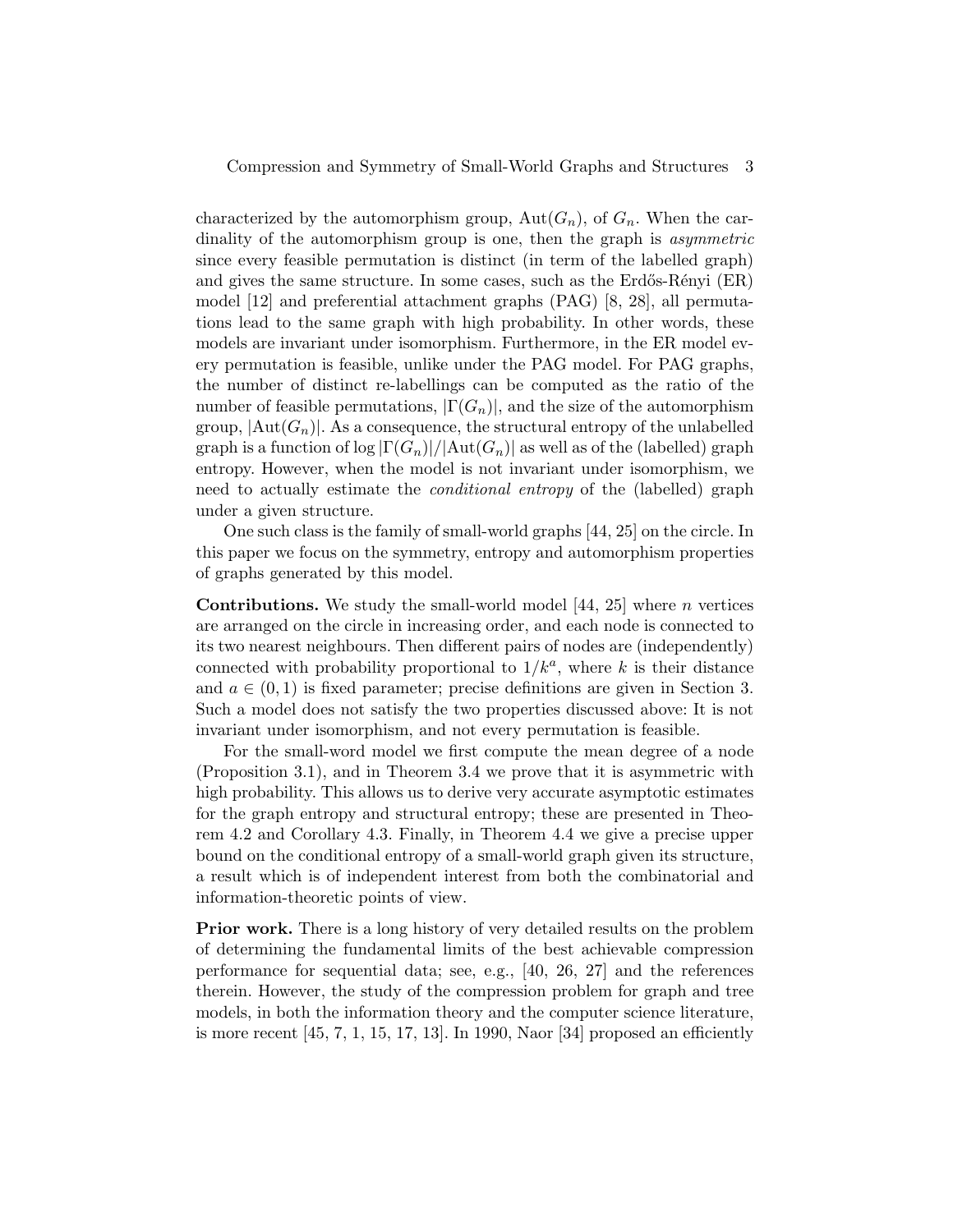characterized by the automorphism group,  $Aut(G_n)$ , of  $G_n$ . When the cardinality of the automorphism group is one, then the graph is *asymmetric* since every feasible permutation is distinct (in term of the labelled graph) and gives the same structure. In some cases, such as the Erdős-Rényi  $(ER)$ model [12] and preferential attachment graphs (PAG) [8, 28], all permutations lead to the same graph with high probability. In other words, these models are invariant under isomorphism. Furthermore, in the ER model every permutation is feasible, unlike under the PAG model. For PAG graphs, the number of distinct re-labellings can be computed as the ratio of the number of feasible permutations,  $|\Gamma(G_n)|$ , and the size of the automorphism group,  $|\text{Aut}(G_n)|$ . As a consequence, the structural entropy of the unlabelled graph is a function of  $\log |\Gamma(G_n)|/|\text{Aut}(G_n)|$  as well as of the (labelled) graph entropy. However, when the model is not invariant under isomorphism, we need to actually estimate the *conditional entropy* of the (labelled) graph under a given structure.

One such class is the family of small-world graphs [44, 25] on the circle. In this paper we focus on the symmetry, entropy and automorphism properties of graphs generated by this model.

**Contributions.** We study the small-world model  $[44, 25]$  where *n* vertices are arranged on the circle in increasing order, and each node is connected to its two nearest neighbours. Then different pairs of nodes are (independently) connected with probability proportional to  $1/k^a$ , where k is their distance and  $a \in (0,1)$  is fixed parameter; precise definitions are given in Section 3. Such a model does not satisfy the two properties discussed above: It is not invariant under isomorphism, and not every permutation is feasible.

For the small-word model we first compute the mean degree of a node (Proposition 3.1), and in Theorem 3.4 we prove that it is asymmetric with high probability. This allows us to derive very accurate asymptotic estimates for the graph entropy and structural entropy; these are presented in Theorem 4.2 and Corollary 4.3. Finally, in Theorem 4.4 we give a precise upper bound on the conditional entropy of a small-world graph given its structure, a result which is of independent interest from both the combinatorial and information-theoretic points of view.

Prior work. There is a long history of very detailed results on the problem of determining the fundamental limits of the best achievable compression performance for sequential data; see, e.g., [40, 26, 27] and the references therein. However, the study of the compression problem for graph and tree models, in both the information theory and the computer science literature, is more recent  $[45, 7, 1, 15, 17, 13]$ . In 1990, Naor  $[34]$  proposed an efficiently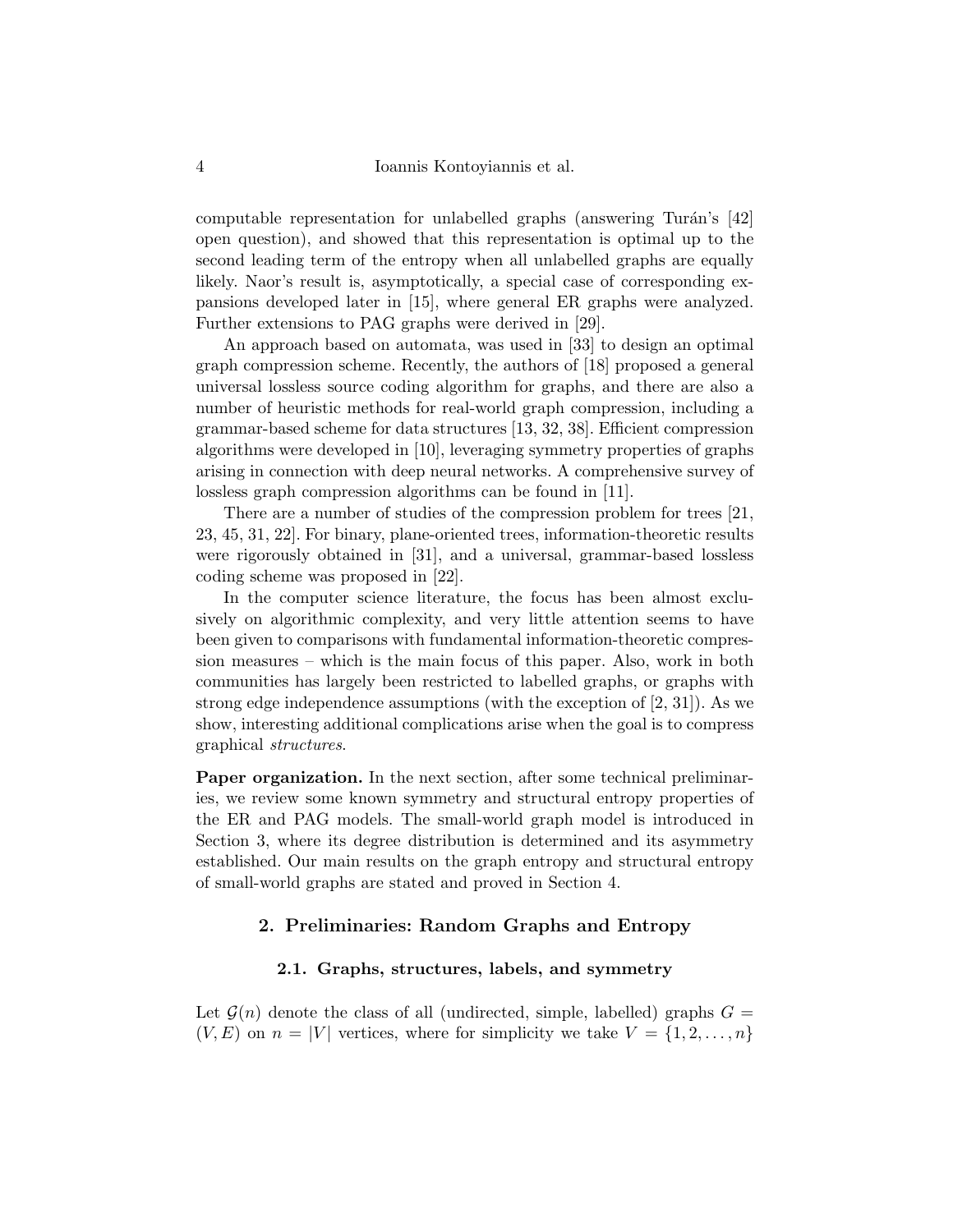computable representation for unlabelled graphs (answering Turán's  $[42]$ open question), and showed that this representation is optimal up to the second leading term of the entropy when all unlabelled graphs are equally likely. Naor's result is, asymptotically, a special case of corresponding expansions developed later in [15], where general ER graphs were analyzed. Further extensions to PAG graphs were derived in [29].

An approach based on automata, was used in [33] to design an optimal graph compression scheme. Recently, the authors of [18] proposed a general universal lossless source coding algorithm for graphs, and there are also a number of heuristic methods for real-world graph compression, including a grammar-based scheme for data structures [13, 32, 38]. Efficient compression algorithms were developed in [10], leveraging symmetry properties of graphs arising in connection with deep neural networks. A comprehensive survey of lossless graph compression algorithms can be found in [11].

There are a number of studies of the compression problem for trees [21, 23, 45, 31, 22]. For binary, plane-oriented trees, information-theoretic results were rigorously obtained in [31], and a universal, grammar-based lossless coding scheme was proposed in [22].

In the computer science literature, the focus has been almost exclusively on algorithmic complexity, and very little attention seems to have been given to comparisons with fundamental information-theoretic compression measures – which is the main focus of this paper. Also, work in both communities has largely been restricted to labelled graphs, or graphs with strong edge independence assumptions (with the exception of [2, 31]). As we show, interesting additional complications arise when the goal is to compress graphical structures.

Paper organization. In the next section, after some technical preliminaries, we review some known symmetry and structural entropy properties of the ER and PAG models. The small-world graph model is introduced in Section 3, where its degree distribution is determined and its asymmetry established. Our main results on the graph entropy and structural entropy of small-world graphs are stated and proved in Section 4.

### 2. Preliminaries: Random Graphs and Entropy

#### 2.1. Graphs, structures, labels, and symmetry

Let  $\mathcal{G}(n)$  denote the class of all (undirected, simple, labelled) graphs  $G =$  $(V, E)$  on  $n = |V|$  vertices, where for simplicity we take  $V = \{1, 2, \ldots, n\}$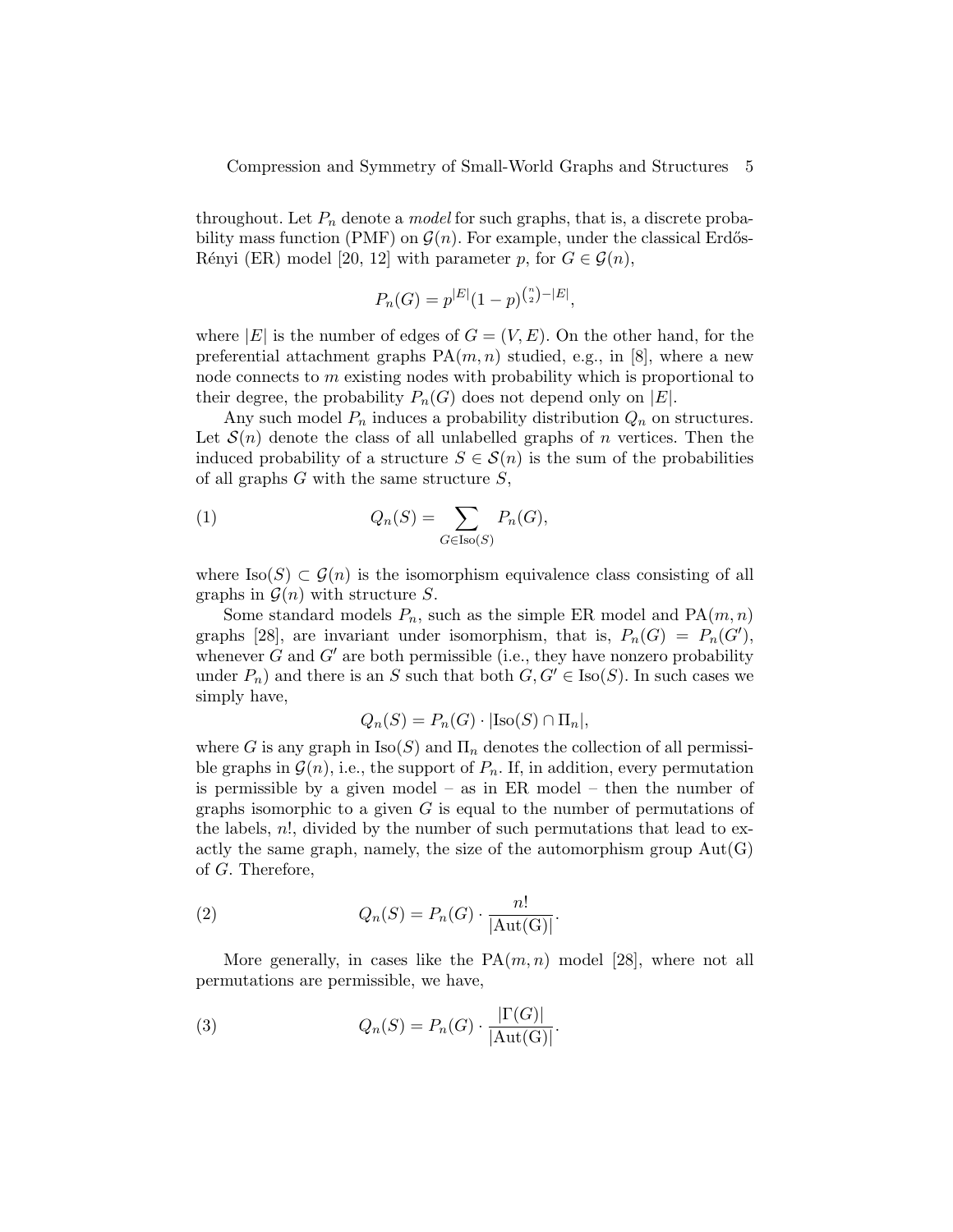throughout. Let  $P_n$  denote a *model* for such graphs, that is, a discrete probability mass function (PMF) on  $\mathcal{G}(n)$ . For example, under the classical Erdős-Rényi (ER) model [20, 12] with parameter p, for  $G \in \mathcal{G}(n)$ ,

$$
P_n(G) = p^{|E|}(1-p)^{{n \choose 2} - |E|},
$$

where  $|E|$  is the number of edges of  $G = (V, E)$ . On the other hand, for the preferential attachment graphs  $PA(m, n)$  studied, e.g., in [8], where a new node connects to m existing nodes with probability which is proportional to their degree, the probability  $P_n(G)$  does not depend only on  $|E|$ .

Any such model  $P_n$  induces a probability distribution  $Q_n$  on structures. Let  $S(n)$  denote the class of all unlabelled graphs of n vertices. Then the induced probability of a structure  $S \in \mathcal{S}(n)$  is the sum of the probabilities of all graphs  $G$  with the same structure  $S$ ,

(1) 
$$
Q_n(S) = \sum_{G \in \text{Iso}(S)} P_n(G),
$$

where  $\text{Iso}(S) \subset \mathcal{G}(n)$  is the isomorphism equivalence class consisting of all graphs in  $\mathcal{G}(n)$  with structure S.

Some standard models  $P_n$ , such as the simple ER model and  $PA(m, n)$ graphs [28], are invariant under isomorphism, that is,  $P_n(G) = P_n(G')$ , whenever  $G$  and  $G'$  are both permissible (i.e., they have nonzero probability under  $P_n$ ) and there is an S such that both  $G, G' \in \text{Iso}(S)$ . In such cases we simply have,

$$
Q_n(S) = P_n(G) \cdot |\text{Iso}(S) \cap \Pi_n|,
$$

where G is any graph in  $\text{Iso}(S)$  and  $\Pi_n$  denotes the collection of all permissible graphs in  $\mathcal{G}(n)$ , i.e., the support of  $P_n$ . If, in addition, every permutation is permissible by a given model – as in ER model – then the number of graphs isomorphic to a given  $G$  is equal to the number of permutations of the labels,  $n!$ , divided by the number of such permutations that lead to exactly the same graph, namely, the size of the automorphism group  $Aut(G)$ of G. Therefore,

(2) 
$$
Q_n(S) = P_n(G) \cdot \frac{n!}{|\text{Aut(G)}|}.
$$

More generally, in cases like the  $PA(m, n)$  model [28], where not all permutations are permissible, we have,

(3) 
$$
Q_n(S) = P_n(G) \cdot \frac{|\Gamma(G)|}{|\text{Aut}(G)|}.
$$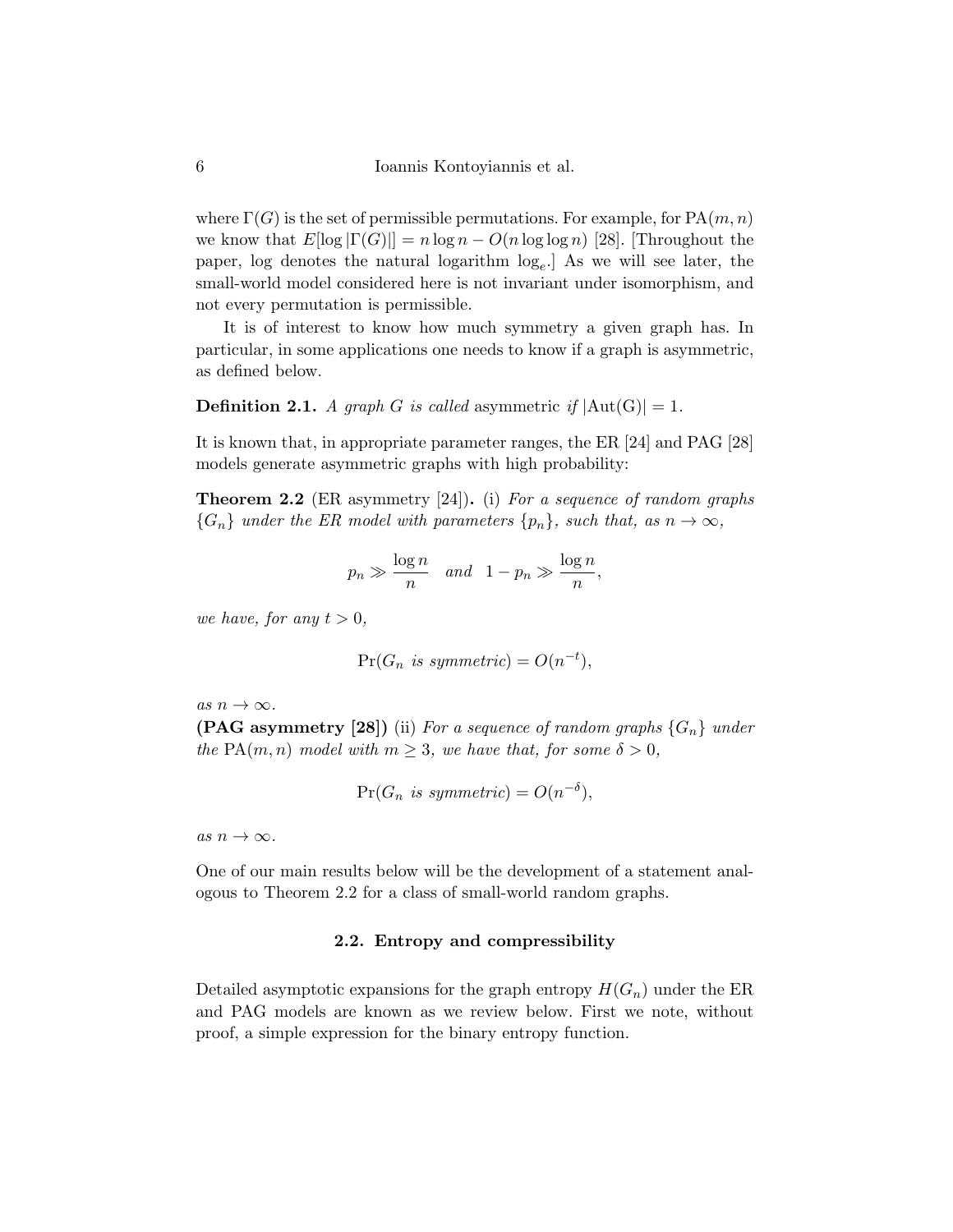where  $\Gamma(G)$  is the set of permissible permutations. For example, for  $\text{PA}(m, n)$ we know that  $E[\log |\Gamma(G)|] = n \log n - O(n \log \log n)$  [28]. [Throughout the paper, log denotes the natural logarithm log<sup>e</sup> .] As we will see later, the small-world model considered here is not invariant under isomorphism, and not every permutation is permissible.

It is of interest to know how much symmetry a given graph has. In particular, in some applications one needs to know if a graph is asymmetric, as defined below.

**Definition 2.1.** A graph G is called asymmetric if  $|\text{Aut}(G)| = 1$ .

It is known that, in appropriate parameter ranges, the ER [24] and PAG [28] models generate asymmetric graphs with high probability:

**Theorem 2.2** (ER asymmetry [24]). (i) For a sequence of random graphs  ${G_n}$  under the ER model with parameters  ${p_n}$ , such that, as  $n \to \infty$ ,

$$
p_n \gg \frac{\log n}{n}
$$
 and  $1 - p_n \gg \frac{\log n}{n}$ ,

we have, for any  $t > 0$ ,

$$
Pr(G_n \text{ is symmetric}) = O(n^{-t}),
$$

as  $n \to \infty$ .

**(PAG asymmetry [28])** (ii) For a sequence of random graphs  $\{G_n\}$  under the PA $(m, n)$  model with  $m \geq 3$ , we have that, for some  $\delta > 0$ ,

$$
\Pr(G_n \text{ is symmetric}) = O(n^{-\delta}),
$$

as  $n \to \infty$ .

One of our main results below will be the development of a statement analogous to Theorem 2.2 for a class of small-world random graphs.

### 2.2. Entropy and compressibility

Detailed asymptotic expansions for the graph entropy  $H(G_n)$  under the ER and PAG models are known as we review below. First we note, without proof, a simple expression for the binary entropy function.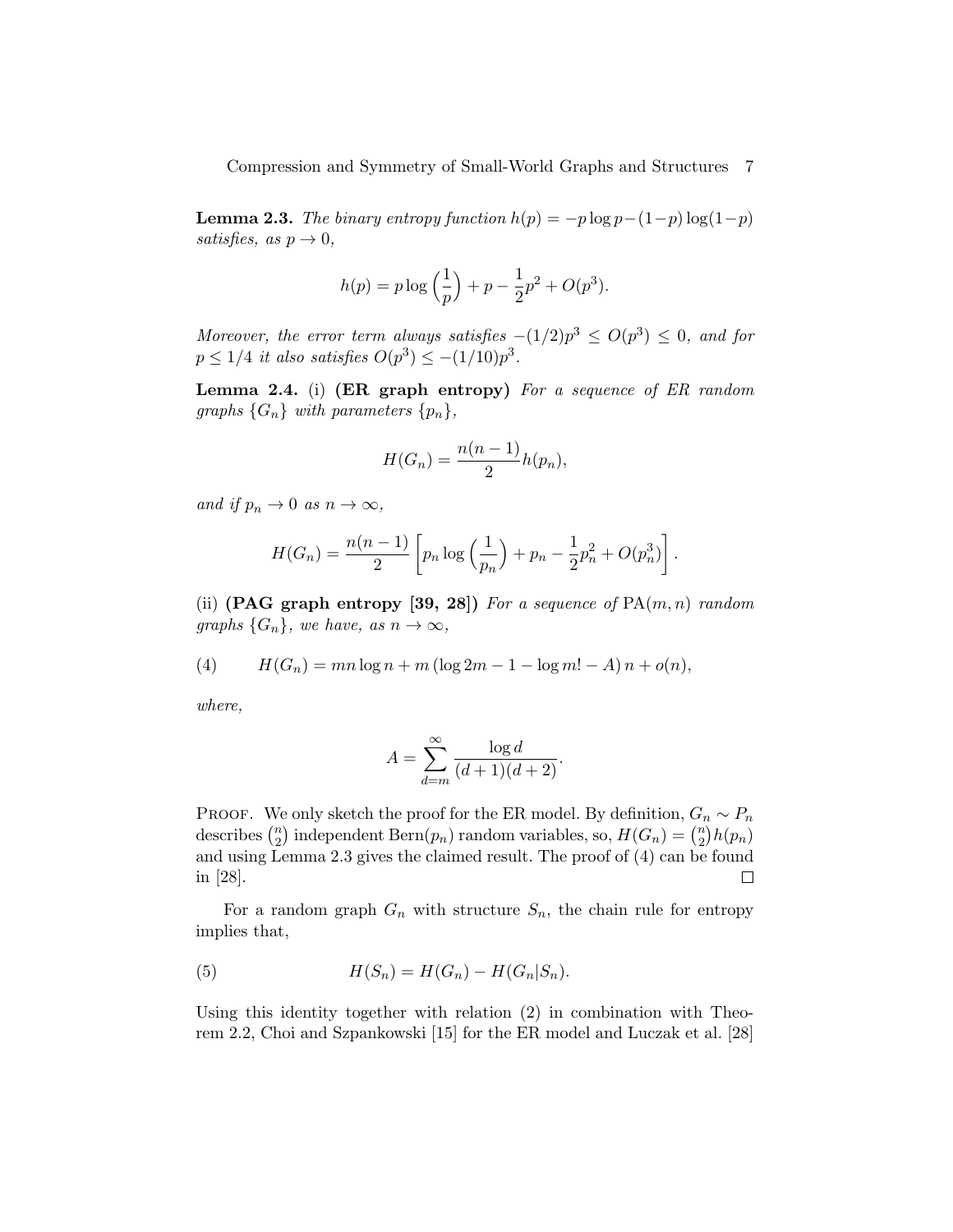**Lemma 2.3.** The binary entropy function  $h(p) = -p \log p - (1-p) \log(1-p)$ satisfies, as  $p \to 0$ ,

$$
h(p) = p \log \left(\frac{1}{p}\right) + p - \frac{1}{2}p^2 + O(p^3).
$$

Moreover, the error term always satisfies  $-(1/2)p^3 \le O(p^3) \le 0$ , and for  $p \leq 1/4$  it also satisfies  $O(p^3) \leq -(1/10)p^3$ .

Lemma 2.4. (i) (ER graph entropy) For a sequence of ER random graphs  $\{G_n\}$  with parameters  $\{p_n\},\$ 

$$
H(G_n) = \frac{n(n-1)}{2}h(p_n),
$$

and if  $p_n \to 0$  as  $n \to \infty$ ,

$$
H(G_n) = \frac{n(n-1)}{2} \left[ p_n \log \left( \frac{1}{p_n} \right) + p_n - \frac{1}{2} p_n^2 + O(p_n^3) \right].
$$

(ii) (PAG graph entropy [39, 28]) For a sequence of  $PA(m, n)$  random graphs  $\{G_n\}$ , we have, as  $n \to \infty$ ,

(4) 
$$
H(G_n) = mn \log n + m (\log 2m - 1 - \log m! - A) n + o(n),
$$

where,

$$
A = \sum_{d=m}^{\infty} \frac{\log d}{(d+1)(d+2)}.
$$

PROOF. We only sketch the proof for the ER model. By definition,  $G_n \sim P_n$ describes  $\binom{n}{2}$  $\binom{n}{2}$  independent Bern $(p_n)$  random variables, so,  $H(G_n) = \binom{n}{2}$  $\binom{n}{2}h(p_n)$ and using Lemma 2.3 gives the claimed result. The proof of (4) can be found in [28]. □

For a random graph  $G_n$  with structure  $S_n$ , the chain rule for entropy implies that,

(5) 
$$
H(S_n) = H(G_n) - H(G_n|S_n).
$$

Using this identity together with relation (2) in combination with Theorem 2.2, Choi and Szpankowski [15] for the ER model and Luczak et al. [28]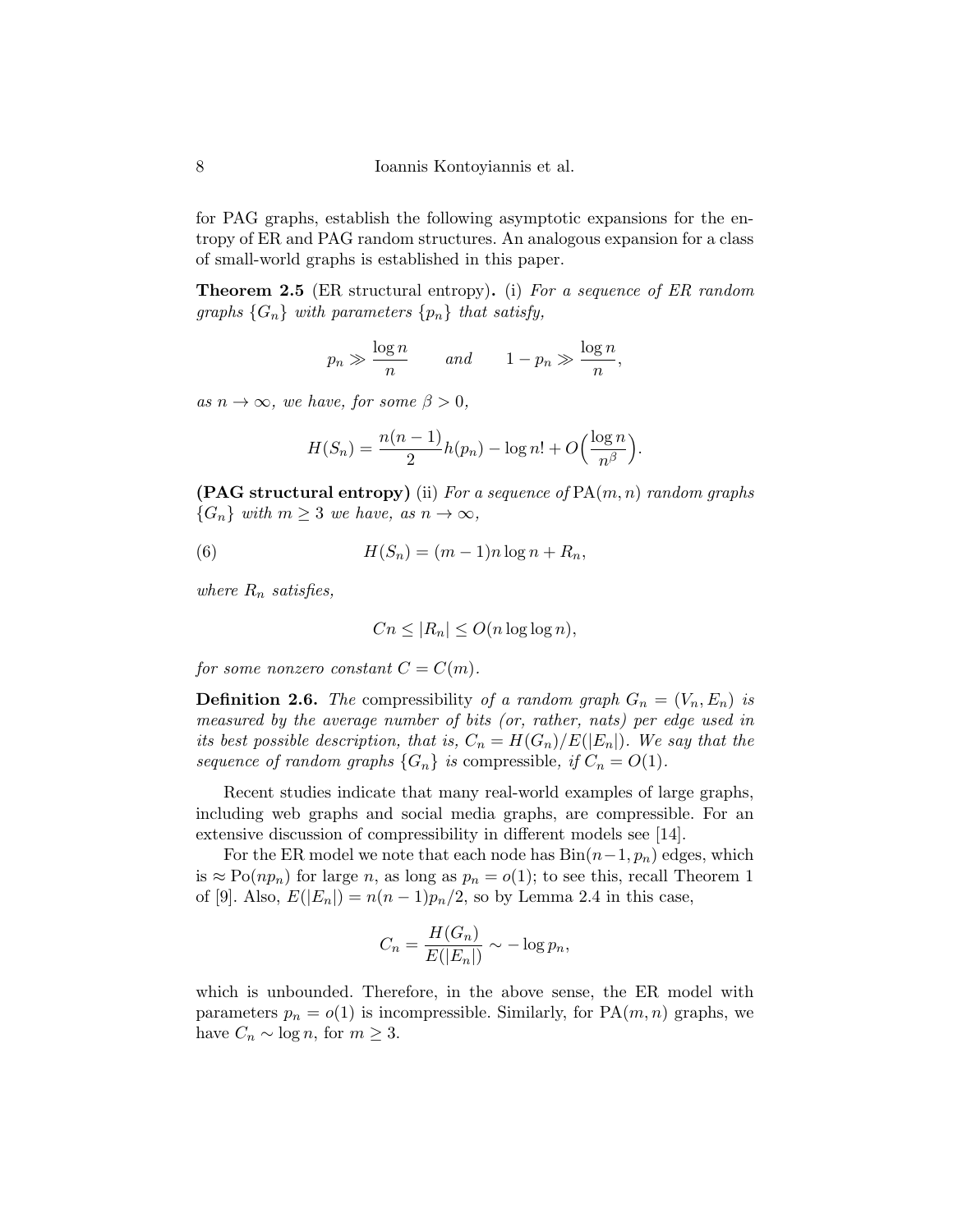for PAG graphs, establish the following asymptotic expansions for the entropy of ER and PAG random structures. An analogous expansion for a class of small-world graphs is established in this paper.

**Theorem 2.5** (ER structural entropy). (i) For a sequence of ER random graphs  $\{G_n\}$  with parameters  $\{p_n\}$  that satisfy,

$$
p_n \gg \frac{\log n}{n}
$$
 and  $1 - p_n \gg \frac{\log n}{n}$ ,

as  $n \to \infty$ , we have, for some  $\beta > 0$ ,

$$
H(S_n) = \frac{n(n-1)}{2}h(p_n) - \log n! + O\left(\frac{\log n}{n^{\beta}}\right).
$$

**(PAG structural entropy)** (ii) For a sequence of  $\text{PA}(m, n)$  random graphs  ${G_n}$  with  $m \geq 3$  we have, as  $n \to \infty$ ,

(6) 
$$
H(S_n) = (m-1)n \log n + R_n,
$$

where  $R_n$  satisfies,

$$
Cn \le |R_n| \le O(n \log \log n),
$$

for some nonzero constant  $C = C(m)$ .

**Definition 2.6.** The compressibility of a random graph  $G_n = (V_n, E_n)$  is measured by the average number of bits (or, rather, nats) per edge used in its best possible description, that is,  $C_n = H(G_n)/E(|E_n|)$ . We say that the sequence of random graphs  $\{G_n\}$  is compressible, if  $C_n = O(1)$ .

Recent studies indicate that many real-world examples of large graphs, including web graphs and social media graphs, are compressible. For an extensive discussion of compressibility in different models see [14].

For the ER model we note that each node has  $Bin(n-1, p_n)$  edges, which is  $\approx \text{Po}(np_n)$  for large n, as long as  $p_n = o(1)$ ; to see this, recall Theorem 1 of [9]. Also,  $E(|E_n|) = n(n-1)p_n/2$ , so by Lemma 2.4 in this case,

$$
C_n = \frac{H(G_n)}{E(|E_n|)} \sim -\log p_n,
$$

which is unbounded. Therefore, in the above sense, the ER model with parameters  $p_n = o(1)$  is incompressible. Similarly, for  $PA(m, n)$  graphs, we have  $C_n \sim \log n$ , for  $m \geq 3$ .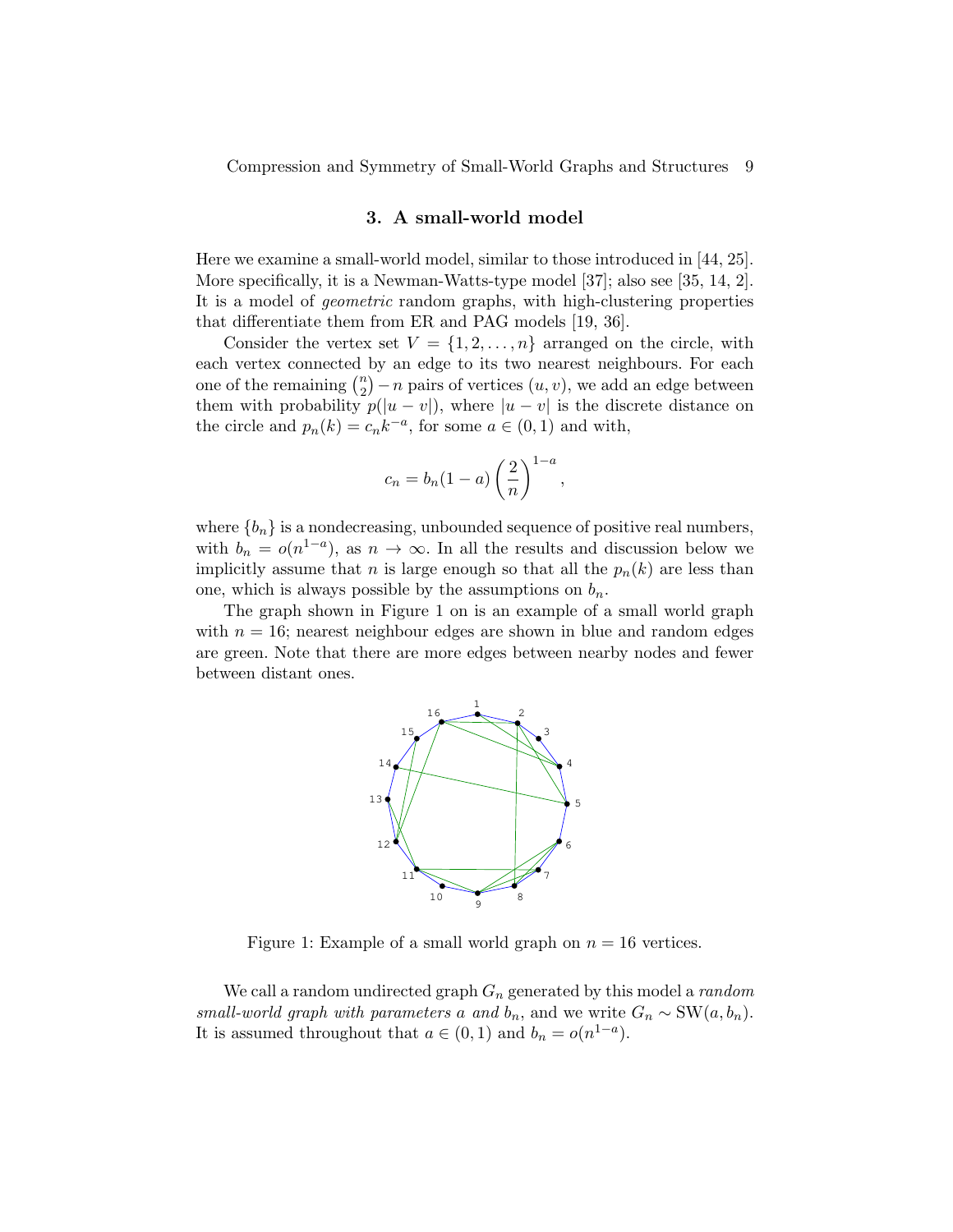#### 3. A small-world model

Here we examine a small-world model, similar to those introduced in [44, 25]. More specifically, it is a Newman-Watts-type model [37]; also see [35, 14, 2]. It is a model of geometric random graphs, with high-clustering properties that differentiate them from ER and PAG models [19, 36].

Consider the vertex set  $V = \{1, 2, ..., n\}$  arranged on the circle, with each vertex connected by an edge to its two nearest neighbours. For each one of the remaining  $\binom{n}{2}$  $\binom{n}{2} - n$  pairs of vertices  $(u, v)$ , we add an edge between them with probability  $p(|u - v|)$ , where  $|u - v|$  is the discrete distance on the circle and  $p_n(k) = c_n k^{-a}$ , for some  $a \in (0, 1)$  and with,

$$
c_n = b_n (1 - a) \left(\frac{2}{n}\right)^{1 - a}
$$

,

where  ${b_n}$  is a nondecreasing, unbounded sequence of positive real numbers, with  $b_n = o(n^{1-a})$ , as  $n \to \infty$ . In all the results and discussion below we implicitly assume that *n* is large enough so that all the  $p_n(k)$  are less than one, which is always possible by the assumptions on  $b_n$ .

The graph shown in Figure 1 on is an example of a small world graph with  $n = 16$ ; nearest neighbour edges are shown in blue and random edges are green. Note that there are more edges between nearby nodes and fewer between distant ones.



Figure 1: Example of a small world graph on  $n = 16$  vertices.

We call a random undirected graph  $G_n$  generated by this model a *random* small-world graph with parameters a and  $b_n$ , and we write  $G_n \sim \text{SW}(a, b_n)$ . It is assumed throughout that  $a \in (0,1)$  and  $b_n = o(n^{1-a})$ .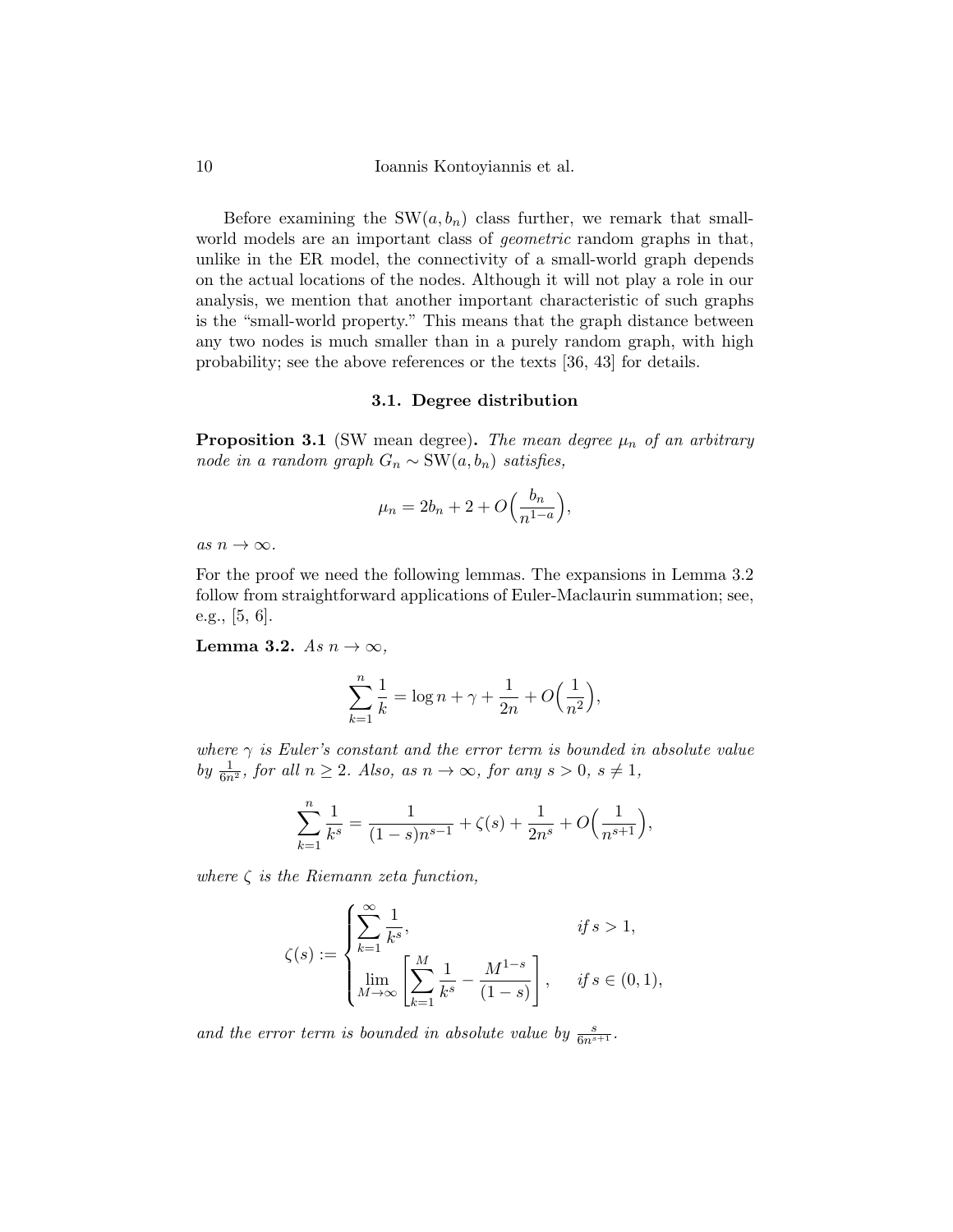10 Ioannis Kontoyiannis et al.

Before examining the  $SW(a, b_n)$  class further, we remark that smallworld models are an important class of geometric random graphs in that, unlike in the ER model, the connectivity of a small-world graph depends on the actual locations of the nodes. Although it will not play a role in our analysis, we mention that another important characteristic of such graphs is the "small-world property." This means that the graph distance between any two nodes is much smaller than in a purely random graph, with high probability; see the above references or the texts [36, 43] for details.

#### 3.1. Degree distribution

**Proposition 3.1** (SW mean degree). The mean degree  $\mu_n$  of an arbitrary node in a random graph  $G_n$  ~ SW( $a, b_n$ ) satisfies,

$$
\mu_n = 2b_n + 2 + O\left(\frac{b_n}{n^{1-a}}\right),
$$

as  $n \to \infty$ .

For the proof we need the following lemmas. The expansions in Lemma 3.2 follow from straightforward applications of Euler-Maclaurin summation; see, e.g., [5, 6].

Lemma 3.2. As  $n \to \infty$ ,

$$
\sum_{k=1}^{n} \frac{1}{k} = \log n + \gamma + \frac{1}{2n} + O\Big(\frac{1}{n^2}\Big),
$$

where  $\gamma$  is Euler's constant and the error term is bounded in absolute value by  $\frac{1}{6n^2}$ , for all  $n \ge 2$ . Also, as  $n \to \infty$ , for any  $s > 0$ ,  $s \ne 1$ ,

$$
\sum_{k=1}^{n} \frac{1}{k^{s}} = \frac{1}{(1-s)n^{s-1}} + \zeta(s) + \frac{1}{2n^{s}} + O\left(\frac{1}{n^{s+1}}\right),
$$

where  $\zeta$  is the Riemann zeta function,

$$
\zeta(s) := \begin{cases} \sum_{k=1}^{\infty} \frac{1}{k^s}, & \text{if } s > 1, \\ \lim_{M \to \infty} \left[ \sum_{k=1}^{M} \frac{1}{k^s} - \frac{M^{1-s}}{(1-s)} \right], & \text{if } s \in (0,1), \end{cases}
$$

and the error term is bounded in absolute value by  $\frac{s}{6n^{s+1}}$ .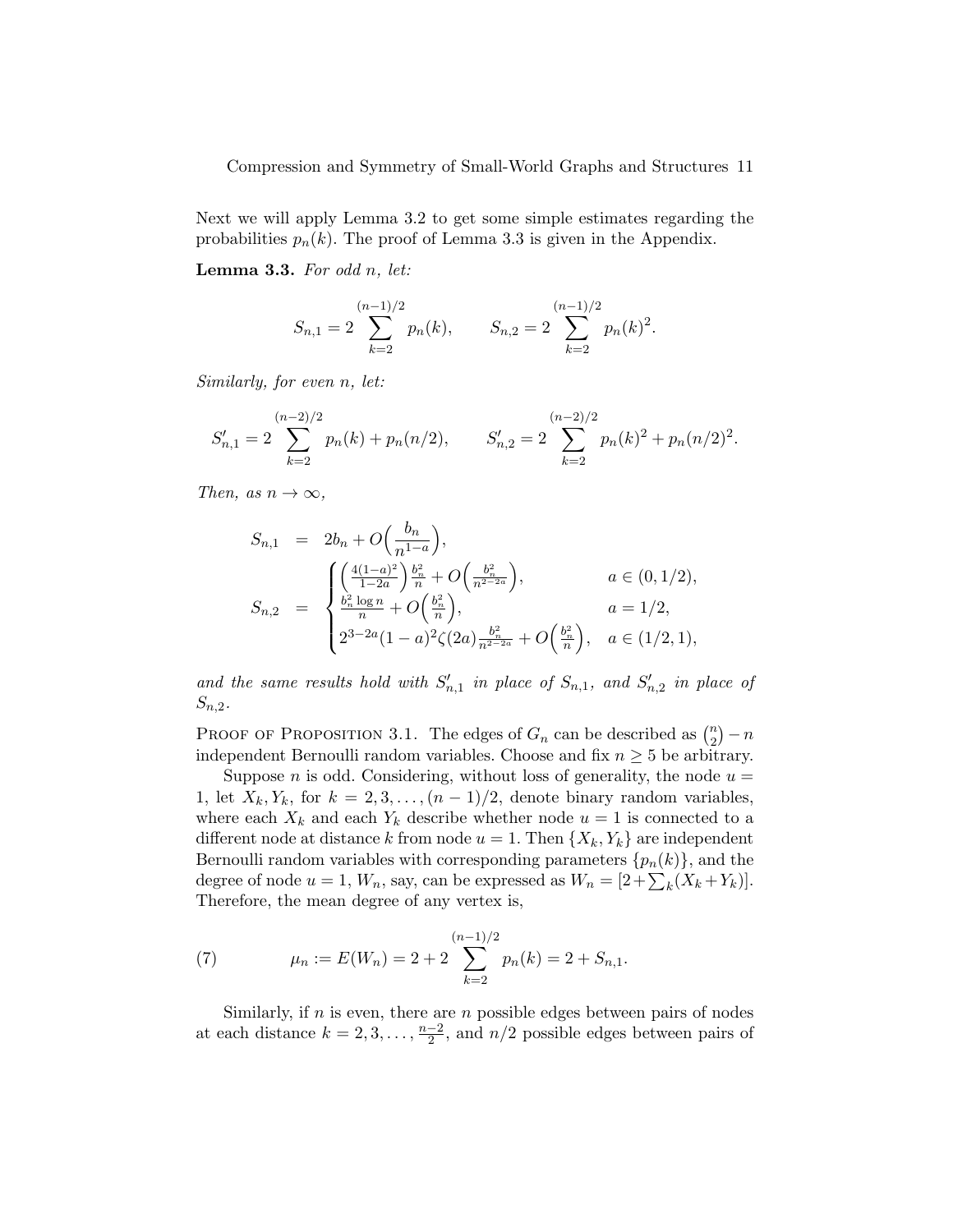Next we will apply Lemma 3.2 to get some simple estimates regarding the probabilities  $p_n(k)$ . The proof of Lemma 3.3 is given in the Appendix.

**Lemma 3.3.** For odd  $n$ , let:

$$
S_{n,1} = 2 \sum_{k=2}^{(n-1)/2} p_n(k), \qquad S_{n,2} = 2 \sum_{k=2}^{(n-1)/2} p_n(k)^2
$$

.

Similarly, for even n, let:

$$
S'_{n,1} = 2 \sum_{k=2}^{(n-2)/2} p_n(k) + p_n(n/2), \qquad S'_{n,2} = 2 \sum_{k=2}^{(n-2)/2} p_n(k)^2 + p_n(n/2)^2.
$$

Then, as  $n \to \infty$ ,

$$
S_{n,1} = 2b_n + O\left(\frac{b_n}{n^{1-a}}\right),
$$
  
\n
$$
S_{n,2} = \begin{cases} \left(\frac{4(1-a)^2}{1-2a}\right)\frac{b_n^2}{n} + O\left(\frac{b_n^2}{n^{2-2a}}\right), & a \in (0, 1/2), \\ \frac{b_n^2 \log n}{n} + O\left(\frac{b_n^2}{n}\right), & a = 1/2, \\ 2^{3-2a}(1-a)^2 \zeta(2a) \frac{b_n^2}{n^{2-2a}} + O\left(\frac{b_n^2}{n}\right), & a \in (1/2, 1), \end{cases}
$$

and the same results hold with  $S'_{n,1}$  in place of  $S_{n,1}$ , and  $S'_{n,2}$  in place of  $S_{n,2}$ .

PROOF OF PROPOSITION 3.1. The edges of  $G_n$  can be described as  $\binom{n}{2}$  $\binom{n}{2} - n$ independent Bernoulli random variables. Choose and fix  $n \geq 5$  be arbitrary.

Suppose *n* is odd. Considering, without loss of generality, the node  $u =$ 1, let  $X_k, Y_k$ , for  $k = 2, 3, \ldots, (n-1)/2$ , denote binary random variables, where each  $X_k$  and each  $Y_k$  describe whether node  $u = 1$  is connected to a different node at distance k from node  $u = 1$ . Then  $\{X_k, Y_k\}$  are independent Bernoulli random variables with corresponding parameters  $\{p_n(k)\}\$ , and the degree of node  $u = 1$ ,  $W_n$ , say, can be expressed as  $W_n = [2 + \sum_k (X_k + Y_k)].$ Therefore, the mean degree of any vertex is,

(7) 
$$
\mu_n := E(W_n) = 2 + 2 \sum_{k=2}^{(n-1)/2} p_n(k) = 2 + S_{n,1}.
$$

Similarly, if  $n$  is even, there are  $n$  possible edges between pairs of nodes at each distance  $k = 2, 3, \ldots, \frac{n-2}{2}$  $\frac{-2}{2}$ , and  $n/2$  possible edges between pairs of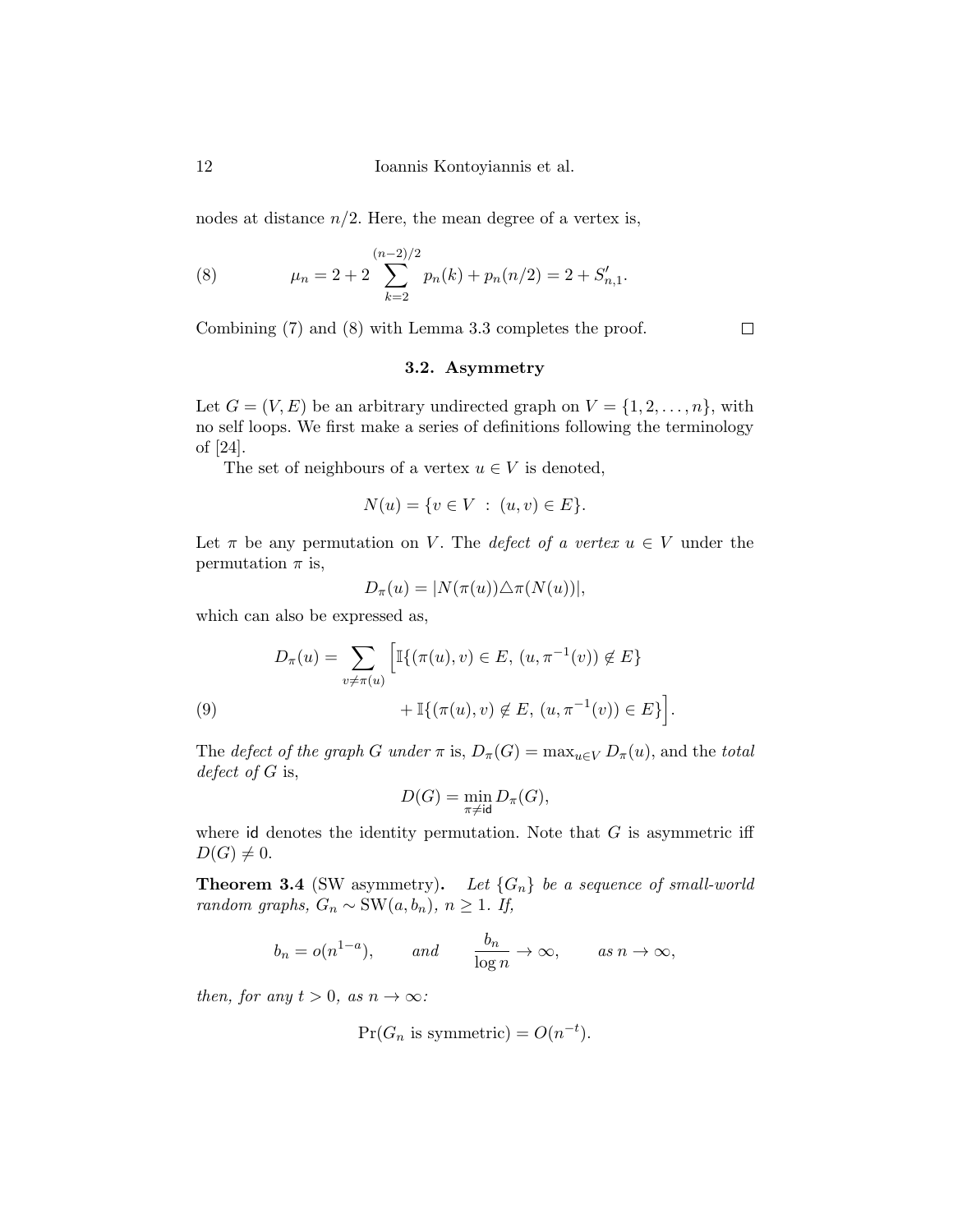nodes at distance  $n/2$ . Here, the mean degree of a vertex is,

(8) 
$$
\mu_n = 2 + 2 \sum_{k=2}^{(n-2)/2} p_n(k) + p_n(n/2) = 2 + S'_{n,1}.
$$

Combining (7) and (8) with Lemma 3.3 completes the proof.

# $\Box$

## 3.2. Asymmetry

Let  $G = (V, E)$  be an arbitrary undirected graph on  $V = \{1, 2, \ldots, n\}$ , with no self loops. We first make a series of definitions following the terminology of [24].

The set of neighbours of a vertex  $u \in V$  is denoted,

$$
N(u) = \{ v \in V : (u, v) \in E \}.
$$

Let  $\pi$  be any permutation on V. The *defect of a vertex*  $u \in V$  under the permutation  $\pi$  is,

$$
D_{\pi}(u) = |N(\pi(u)) \triangle \pi(N(u))|,
$$

which can also be expressed as,

$$
D_{\pi}(u) = \sum_{v \neq \pi(u)} \left[ \mathbb{I}\{ (\pi(u), v) \in E, (u, \pi^{-1}(v)) \notin E \} + \mathbb{I}\{ (\pi(u), v) \notin E, (u, \pi^{-1}(v)) \in E \} \right].
$$
  
(9)

The defect of the graph G under  $\pi$  is,  $D_{\pi}(G) = \max_{u \in V} D_{\pi}(u)$ , and the total defect of  $G$  is,

$$
D(G) = \min_{\pi \neq \text{id}} D_{\pi}(G),
$$

where id denotes the identity permutation. Note that  $G$  is asymmetric iff  $D(G) \neq 0.$ 

**Theorem 3.4** (SW asymmetry). Let  $\{G_n\}$  be a sequence of small-world random graphs,  $G_n$  ∼ SW( $a, b_n$ ),  $n \ge 1$ . If,

$$
b_n = o(n^{1-a}),
$$
 and  $\frac{b_n}{\log n} \to \infty,$  as  $n \to \infty$ ,

then, for any  $t > 0$ , as  $n \to \infty$ :

$$
Pr(G_n \text{ is symmetric}) = O(n^{-t}).
$$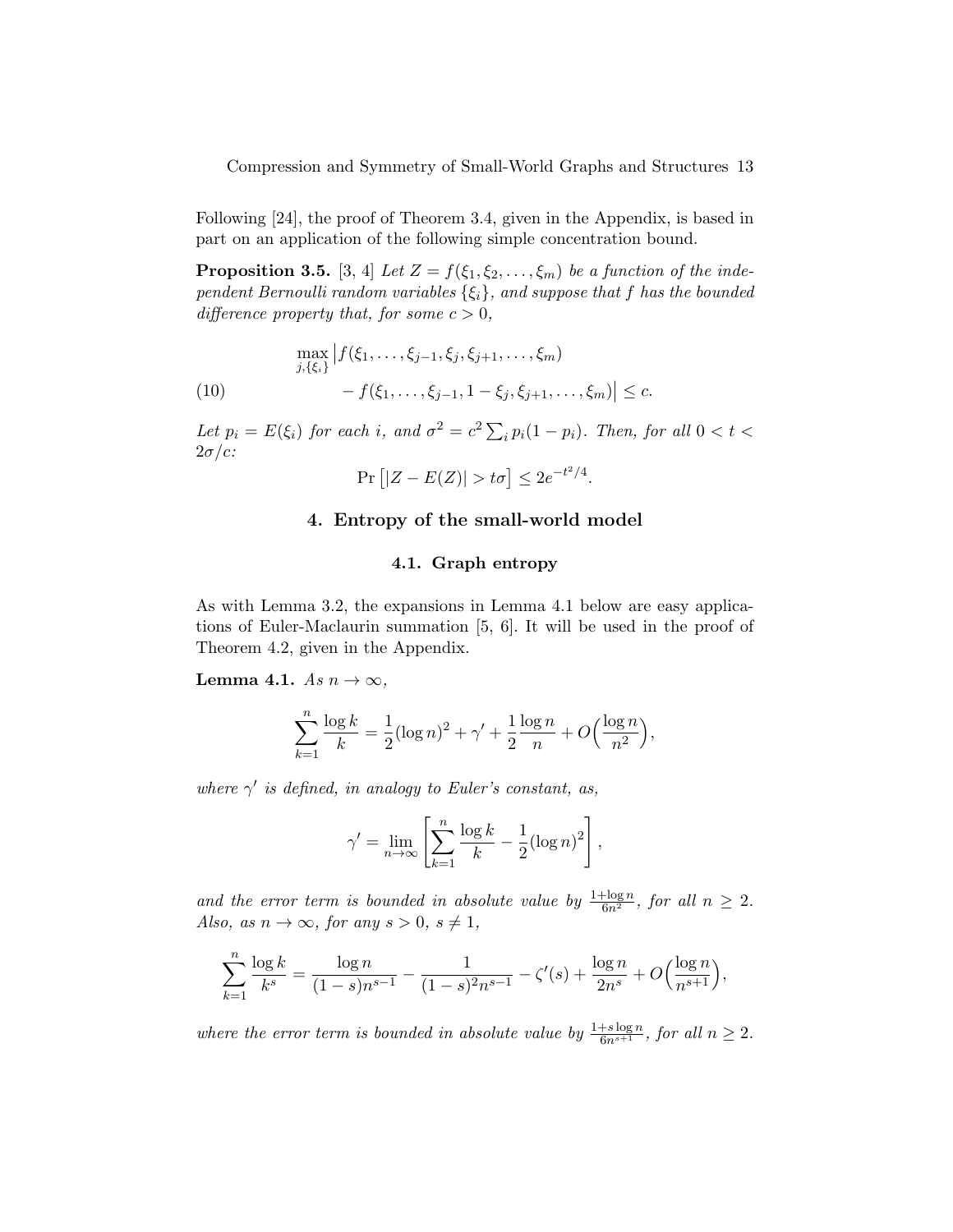Following [24], the proof of Theorem 3.4, given in the Appendix, is based in part on an application of the following simple concentration bound.

**Proposition 3.5.** [3, 4] Let  $Z = f(\xi_1, \xi_2, \ldots, \xi_m)$  be a function of the independent Bernoulli random variables  $\{\xi_i\}$ , and suppose that f has the bounded difference property that, for some  $c > 0$ ,

(10)  
\n
$$
\max_{j,\{\xi_i\}} |f(\xi_1,\ldots,\xi_{j-1},\xi_j,\xi_{j+1},\ldots,\xi_m) - f(\xi_1,\ldots,\xi_{j-1},1-\xi_j,\xi_{j+1},\ldots,\xi_m)| \leq c.
$$

Let  $p_i = E(\xi_i)$  for each i, and  $\sigma^2 = c^2 \sum_i p_i (1 - p_i)$ . Then, for all  $0 < t <$  $2\sigma/c$ :

$$
\Pr\left[|Z - E(Z)| > t\sigma\right] \le 2e^{-t^2/4}.
$$

## 4. Entropy of the small-world model

## 4.1. Graph entropy

As with Lemma 3.2, the expansions in Lemma 4.1 below are easy applications of Euler-Maclaurin summation [5, 6]. It will be used in the proof of Theorem 4.2, given in the Appendix.

Lemma 4.1. As  $n \to \infty$ ,

$$
\sum_{k=1}^{n} \frac{\log k}{k} = \frac{1}{2} (\log n)^2 + \gamma' + \frac{1}{2} \frac{\log n}{n} + O\left(\frac{\log n}{n^2}\right),
$$

where  $\gamma'$  is defined, in analogy to Euler's constant, as,

$$
\gamma' = \lim_{n \to \infty} \left[ \sum_{k=1}^n \frac{\log k}{k} - \frac{1}{2} (\log n)^2 \right],
$$

and the error term is bounded in absolute value by  $\frac{1+\log n}{6n^2}$ , for all  $n \geq 2$ . Also, as  $n \to \infty$ , for any  $s > 0$ ,  $s \neq 1$ ,

$$
\sum_{k=1}^{n} \frac{\log k}{k^s} = \frac{\log n}{(1-s)n^{s-1}} - \frac{1}{(1-s)^2 n^{s-1}} - \zeta'(s) + \frac{\log n}{2n^s} + O\left(\frac{\log n}{n^{s+1}}\right),\,
$$

where the error term is bounded in absolute value by  $\frac{1+s\log n}{6n^{s+1}}$ , for all  $n \geq 2$ .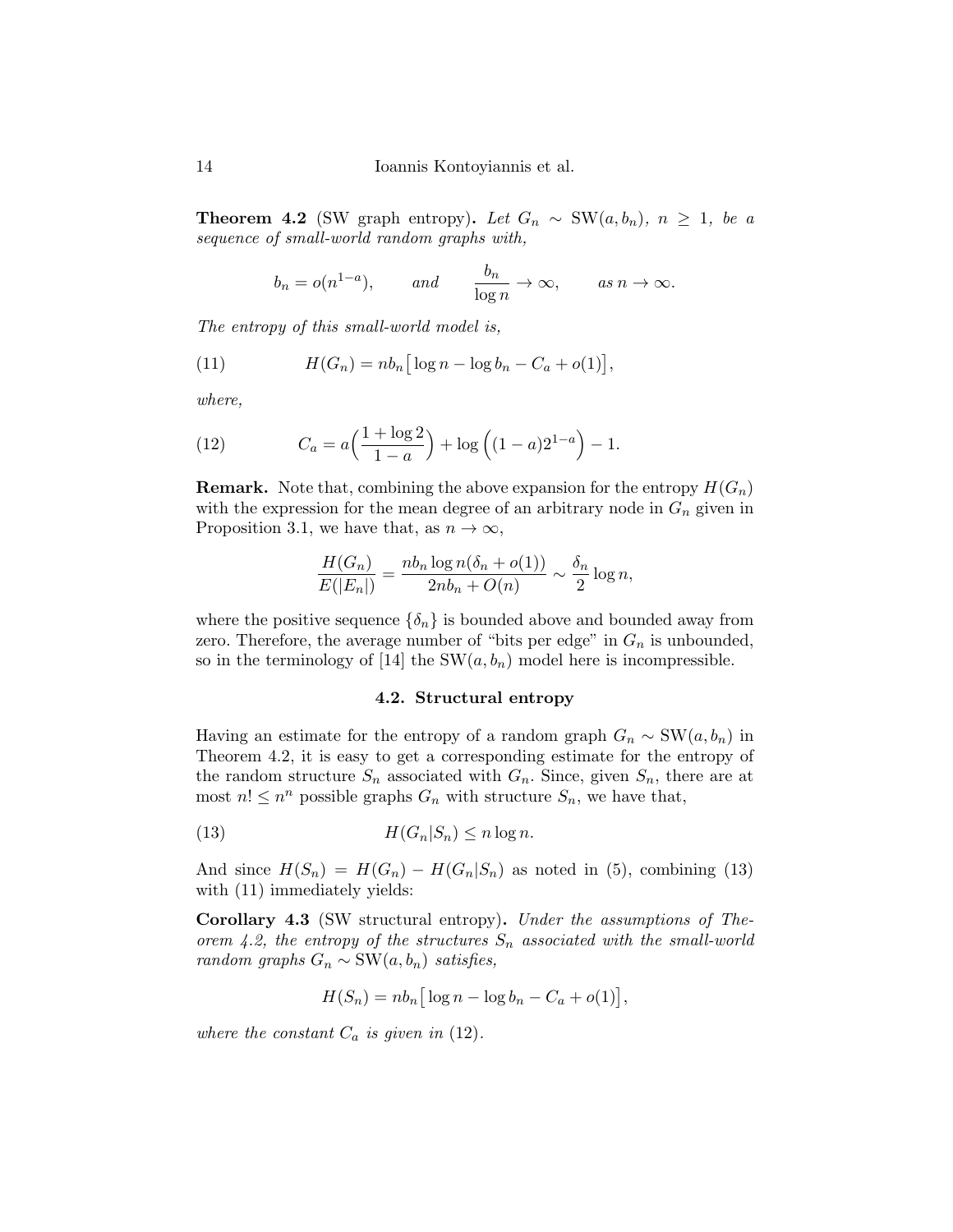14 Ioannis Kontoyiannis et al.

**Theorem 4.2** (SW graph entropy). Let  $G_n \sim SW(a, b_n)$ ,  $n \geq 1$ , be a sequence of small-world random graphs with,

$$
b_n = o(n^{1-a}),
$$
 and  $\frac{b_n}{\log n} \to \infty,$  as  $n \to \infty.$ 

The entropy of this small-world model is,

(11) 
$$
H(G_n) = nb_n \big[ \log n - \log b_n - C_a + o(1) \big],
$$

where,

(12) 
$$
C_a = a \left( \frac{1 + \log 2}{1 - a} \right) + \log \left( (1 - a) 2^{1 - a} \right) - 1.
$$

**Remark.** Note that, combining the above expansion for the entropy  $H(G_n)$ with the expression for the mean degree of an arbitrary node in  $G_n$  given in Proposition 3.1, we have that, as  $n \to \infty$ ,

$$
\frac{H(G_n)}{E(|E_n|)} = \frac{nb_n \log n(\delta_n + o(1))}{2nb_n + O(n)} \sim \frac{\delta_n}{2} \log n,
$$

where the positive sequence  $\{\delta_n\}$  is bounded above and bounded away from zero. Therefore, the average number of "bits per edge" in  $G_n$  is unbounded, so in the terminology of [14] the SW $(a, b_n)$  model here is incompressible.

#### 4.2. Structural entropy

Having an estimate for the entropy of a random graph  $G_n \sim SW(a, b_n)$  in Theorem 4.2, it is easy to get a corresponding estimate for the entropy of the random structure  $S_n$  associated with  $G_n$ . Since, given  $S_n$ , there are at most  $n! \leq n^n$  possible graphs  $G_n$  with structure  $S_n$ , we have that,

(13) 
$$
H(G_n|S_n) \leq n \log n.
$$

And since  $H(S_n) = H(G_n) - H(G_n|S_n)$  as noted in (5), combining (13) with  $(11)$  immediately yields:

Corollary 4.3 (SW structural entropy). Under the assumptions of Theorem 4.2, the entropy of the structures  $S_n$  associated with the small-world random graphs  $G_n$  ∼ SW( $a, b_n$ ) satisfies,

$$
H(S_n) = nb_n \big[ \log n - \log b_n - C_a + o(1) \big],
$$

where the constant  $C_a$  is given in (12).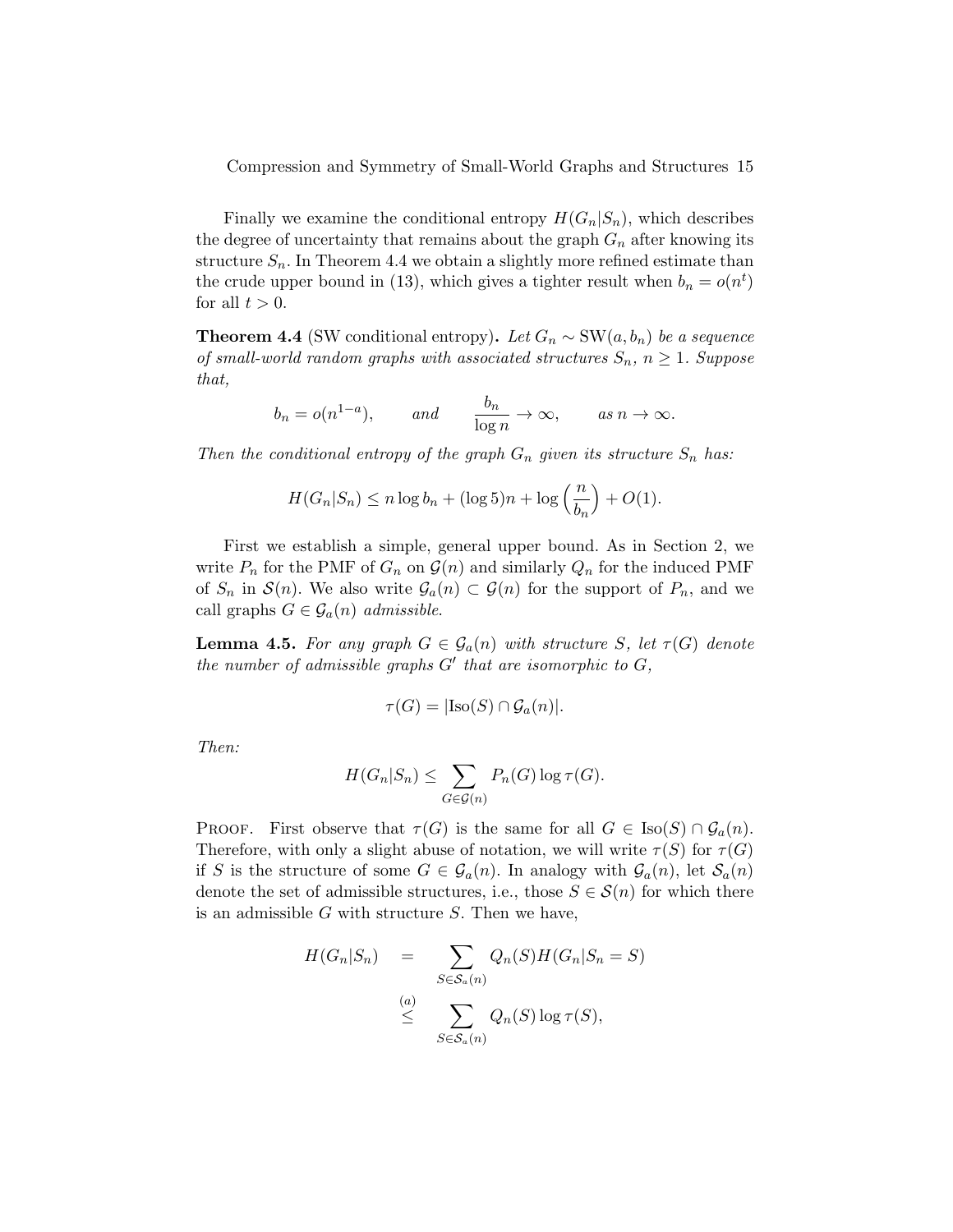Finally we examine the conditional entropy  $H(G_n|S_n)$ , which describes the degree of uncertainty that remains about the graph  $G_n$  after knowing its structure  $S_n$ . In Theorem 4.4 we obtain a slightly more refined estimate than the crude upper bound in (13), which gives a tighter result when  $b_n = o(n^t)$ for all  $t > 0$ .

**Theorem 4.4** (SW conditional entropy). Let  $G_n \sim SW(a, b_n)$  be a sequence of small-world random graphs with associated structures  $S_n$ ,  $n \geq 1$ . Suppose that,

$$
b_n = o(n^{1-a}),
$$
 and  $\frac{b_n}{\log n} \to \infty,$  as  $n \to \infty.$ 

Then the conditional entropy of the graph  $G_n$  given its structure  $S_n$  has:

$$
H(G_n|S_n) \le n \log b_n + (\log 5)n + \log \left(\frac{n}{b_n}\right) + O(1).
$$

First we establish a simple, general upper bound. As in Section 2, we write  $P_n$  for the PMF of  $G_n$  on  $\mathcal{G}(n)$  and similarly  $Q_n$  for the induced PMF of  $S_n$  in  $\mathcal{S}(n)$ . We also write  $\mathcal{G}_a(n) \subset \mathcal{G}(n)$  for the support of  $P_n$ , and we call graphs  $G \in \mathcal{G}_a(n)$  admissible.

**Lemma 4.5.** For any graph  $G \in \mathcal{G}_a(n)$  with structure S, let  $\tau(G)$  denote the number of admissible graphs  $G'$  that are isomorphic to  $G$ ,

$$
\tau(G) = |\text{Iso}(S) \cap \mathcal{G}_a(n)|.
$$

Then:

$$
H(G_n|S_n) \leq \sum_{G \in \mathcal{G}(n)} P_n(G) \log \tau(G).
$$

PROOF. First observe that  $\tau(G)$  is the same for all  $G \in \text{Iso}(S) \cap \mathcal{G}_a(n)$ . Therefore, with only a slight abuse of notation, we will write  $\tau(S)$  for  $\tau(G)$ if S is the structure of some  $G \in \mathcal{G}_a(n)$ . In analogy with  $\mathcal{G}_a(n)$ , let  $\mathcal{S}_a(n)$ denote the set of admissible structures, i.e., those  $S \in \mathcal{S}(n)$  for which there is an admissible  $G$  with structure  $S$ . Then we have,

$$
H(G_n|S_n) = \sum_{S \in S_a(n)} Q_n(S)H(G_n|S_n = S)
$$
  
\n
$$
\leq \sum_{S \in S_a(n)} Q_n(S) \log \tau(S),
$$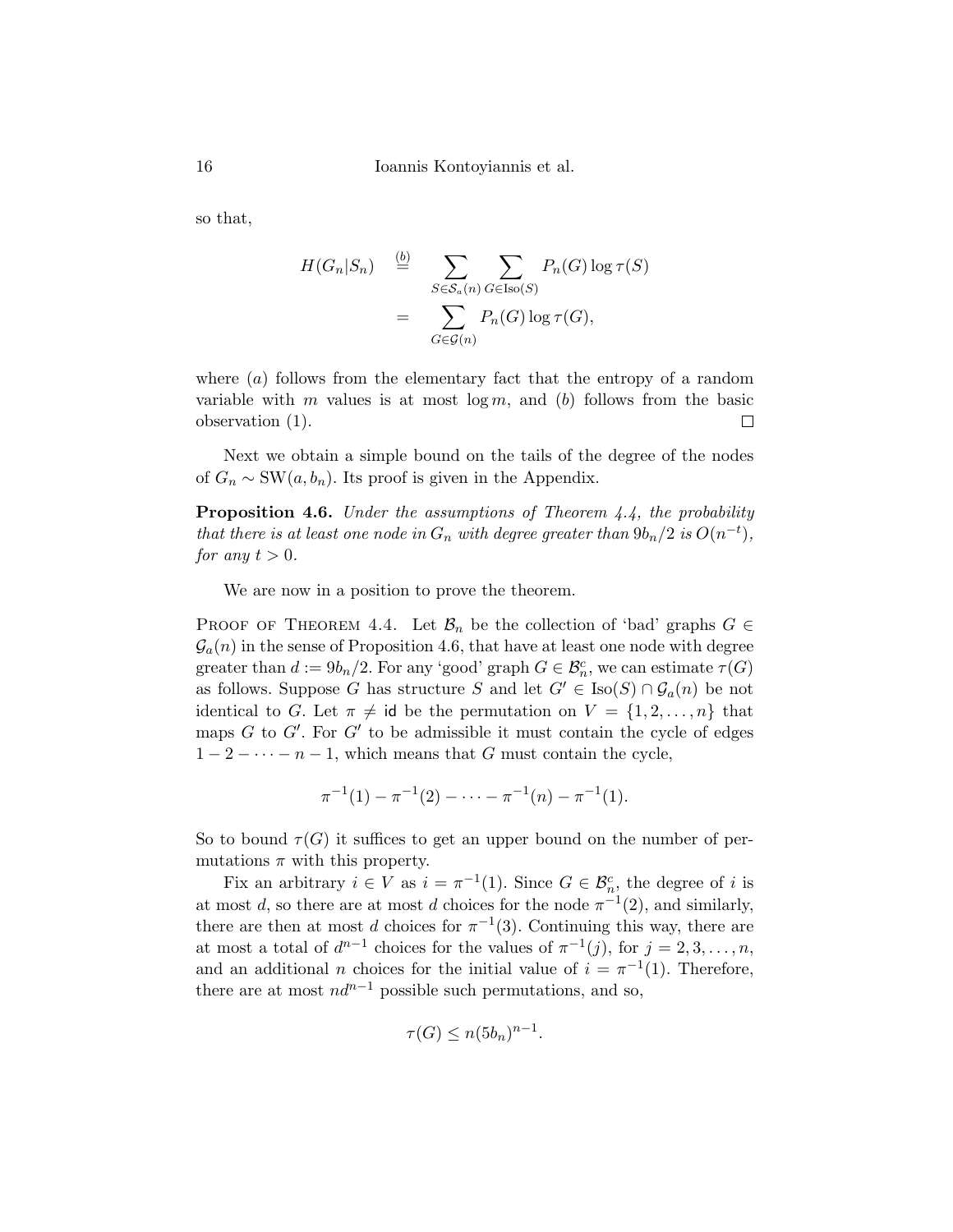16 Ioannis Kontoyiannis et al.

so that,

$$
H(G_n|S_n) \stackrel{(b)}{=} \sum_{S \in S_a(n)} \sum_{G \in \text{Iso}(S)} P_n(G) \log \tau(S)
$$

$$
= \sum_{G \in \mathcal{G}(n)} P_n(G) \log \tau(G),
$$

where  $(a)$  follows from the elementary fact that the entropy of a random variable with m values is at most  $\log m$ , and (b) follows from the basic observation (1).  $\Box$ 

Next we obtain a simple bound on the tails of the degree of the nodes of  $G_n \sim \text{SW}(a, b_n)$ . Its proof is given in the Appendix.

Proposition 4.6. Under the assumptions of Theorem 4.4, the probability that there is at least one node in  $G_n$  with degree greater than  $9b_n/2$  is  $O(n^{-t})$ , for any  $t > 0$ .

We are now in a position to prove the theorem.

PROOF OF THEOREM 4.4. Let  $\mathcal{B}_n$  be the collection of 'bad' graphs  $G \in$  $\mathcal{G}_a(n)$  in the sense of Proposition 4.6, that have at least one node with degree greater than  $d := 9b_n/2$ . For any 'good' graph  $G \in \mathcal{B}_n^c$ , we can estimate  $\tau(G)$ as follows. Suppose G has structure S and let  $G' \in Iso(S) \cap \mathcal{G}_a(n)$  be not identical to G. Let  $\pi \neq id$  be the permutation on  $V = \{1, 2, \ldots, n\}$  that maps  $G$  to  $G'$ . For  $G'$  to be admissible it must contain the cycle of edges  $1-2-\cdots-n-1$ , which means that G must contain the cycle,

$$
\pi^{-1}(1) - \pi^{-1}(2) - \cdots - \pi^{-1}(n) - \pi^{-1}(1).
$$

So to bound  $\tau(G)$  it suffices to get an upper bound on the number of permutations  $\pi$  with this property.

Fix an arbitrary  $i \in V$  as  $i = \pi^{-1}(1)$ . Since  $G \in \mathcal{B}_n^c$ , the degree of i is at most d, so there are at most d choices for the node  $\pi^{-1}(2)$ , and similarly, there are then at most d choices for  $\pi^{-1}(3)$ . Continuing this way, there are at most a total of  $d^{n-1}$  choices for the values of  $\pi^{-1}(j)$ , for  $j = 2, 3, ..., n$ , and an additional *n* choices for the initial value of  $i = \pi^{-1}(1)$ . Therefore, there are at most  $nd^{n-1}$  possible such permutations, and so,

$$
\tau(G) \le n(5b_n)^{n-1}.
$$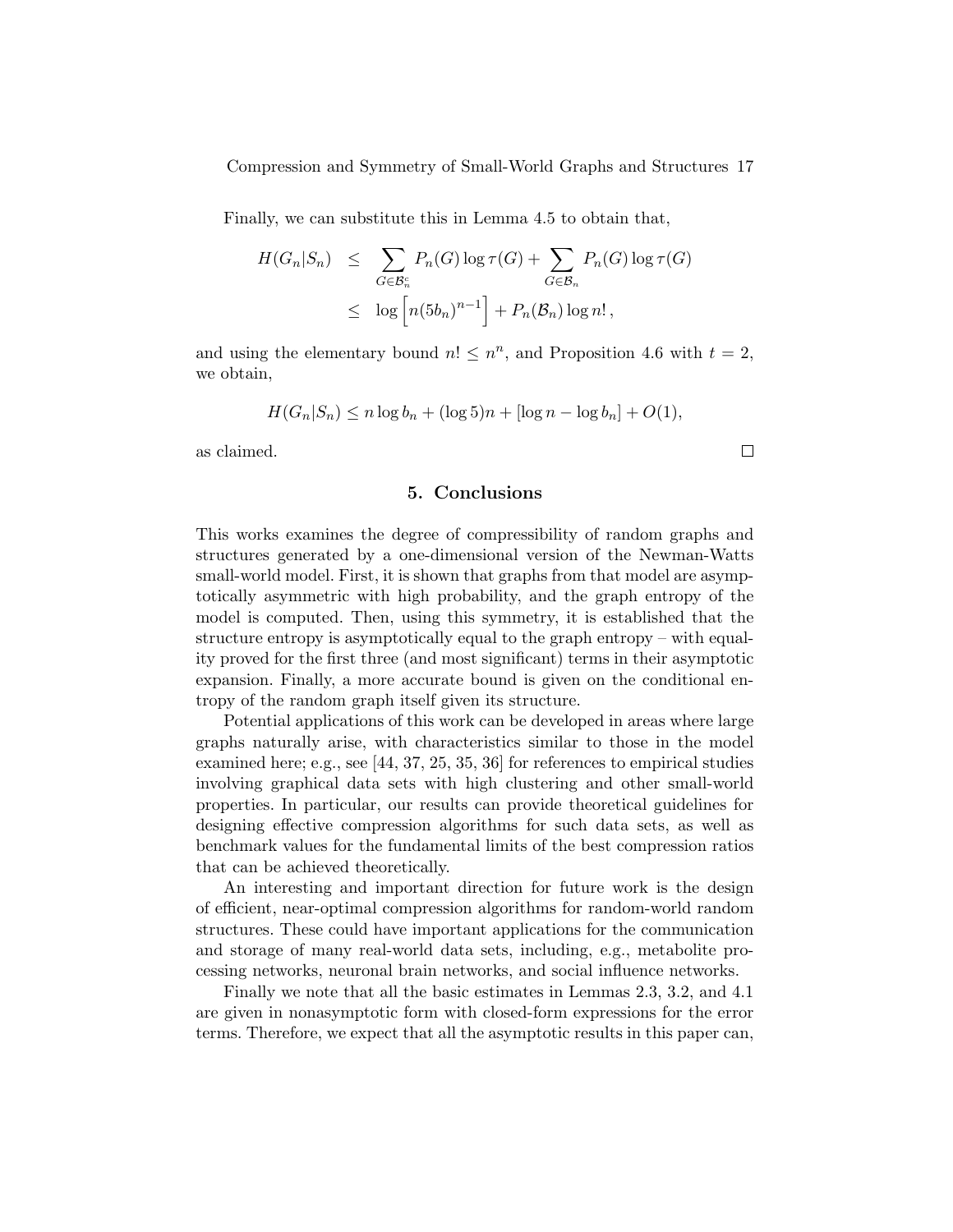Finally, we can substitute this in Lemma 4.5 to obtain that,

$$
H(G_n|S_n) \leq \sum_{G \in \mathcal{B}_n^c} P_n(G) \log \tau(G) + \sum_{G \in \mathcal{B}_n} P_n(G) \log \tau(G)
$$
  

$$
\leq \log \left[ n(5b_n)^{n-1} \right] + P_n(\mathcal{B}_n) \log n!,
$$

and using the elementary bound  $n! \leq n^n$ , and Proposition 4.6 with  $t = 2$ , we obtain,

$$
H(G_n|S_n) \le n \log b_n + (\log 5)n + [\log n - \log b_n] + O(1),
$$

as claimed.

### 5. Conclusions

This works examines the degree of compressibility of random graphs and structures generated by a one-dimensional version of the Newman-Watts small-world model. First, it is shown that graphs from that model are asymptotically asymmetric with high probability, and the graph entropy of the model is computed. Then, using this symmetry, it is established that the structure entropy is asymptotically equal to the graph entropy – with equality proved for the first three (and most significant) terms in their asymptotic expansion. Finally, a more accurate bound is given on the conditional entropy of the random graph itself given its structure.

Potential applications of this work can be developed in areas where large graphs naturally arise, with characteristics similar to those in the model examined here; e.g., see [44, 37, 25, 35, 36] for references to empirical studies involving graphical data sets with high clustering and other small-world properties. In particular, our results can provide theoretical guidelines for designing effective compression algorithms for such data sets, as well as benchmark values for the fundamental limits of the best compression ratios that can be achieved theoretically.

An interesting and important direction for future work is the design of efficient, near-optimal compression algorithms for random-world random structures. These could have important applications for the communication and storage of many real-world data sets, including, e.g., metabolite processing networks, neuronal brain networks, and social influence networks.

Finally we note that all the basic estimates in Lemmas 2.3, 3.2, and 4.1 are given in nonasymptotic form with closed-form expressions for the error terms. Therefore, we expect that all the asymptotic results in this paper can,

 $\Box$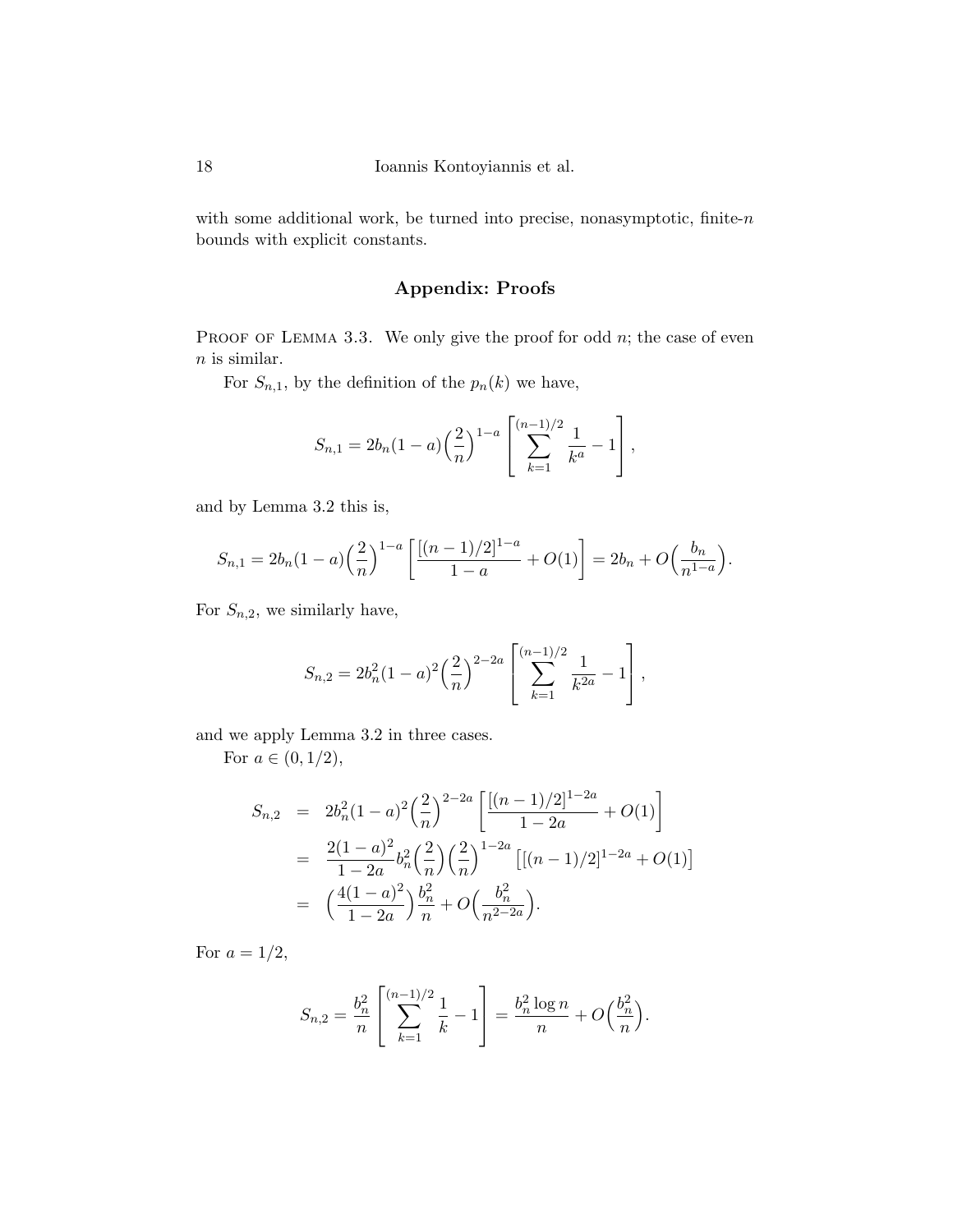with some additional work, be turned into precise, nonasymptotic, finite- $n$ bounds with explicit constants.

# Appendix: Proofs

PROOF OF LEMMA 3.3. We only give the proof for odd  $n$ ; the case of even  $\boldsymbol{n}$  is similar.

For  $S_{n,1}$ , by the definition of the  $p_n(k)$  we have,

$$
S_{n,1} = 2b_n(1-a)\left(\frac{2}{n}\right)^{1-a} \left[\sum_{k=1}^{(n-1)/2} \frac{1}{k^a} - 1\right],
$$

and by Lemma 3.2 this is,

$$
S_{n,1} = 2b_n(1-a)\left(\frac{2}{n}\right)^{1-a}\left[\frac{[(n-1)/2]^{1-a}}{1-a} + O(1)\right] = 2b_n + O\left(\frac{b_n}{n^{1-a}}\right).
$$

For  $S_{n,2}$ , we similarly have,

$$
S_{n,2} = 2b_n^2(1-a)^2\left(\frac{2}{n}\right)^{2-2a}\left[\sum_{k=1}^{(n-1)/2}\frac{1}{k^{2a}} - 1\right],
$$

and we apply Lemma 3.2 in three cases.

For  $a \in (0, 1/2)$ ,

$$
S_{n,2} = 2b_n^2(1-a)^2\left(\frac{2}{n}\right)^{2-2a} \left[\frac{[(n-1)/2]^{1-2a}}{1-2a} + O(1)\right]
$$
  
= 
$$
\frac{2(1-a)^2}{1-2a}b_n^2\left(\frac{2}{n}\right)\left(\frac{2}{n}\right)^{1-2a} \left[[(n-1)/2]^{1-2a} + O(1)\right]
$$
  
= 
$$
\left(\frac{4(1-a)^2}{1-2a}\right)\frac{b_n^2}{n} + O\left(\frac{b_n^2}{n^{2-2a}}\right).
$$

For  $a = 1/2$ ,

$$
S_{n,2} = \frac{b_n^2}{n} \left[ \sum_{k=1}^{(n-1)/2} \frac{1}{k} - 1 \right] = \frac{b_n^2 \log n}{n} + O\left(\frac{b_n^2}{n}\right).
$$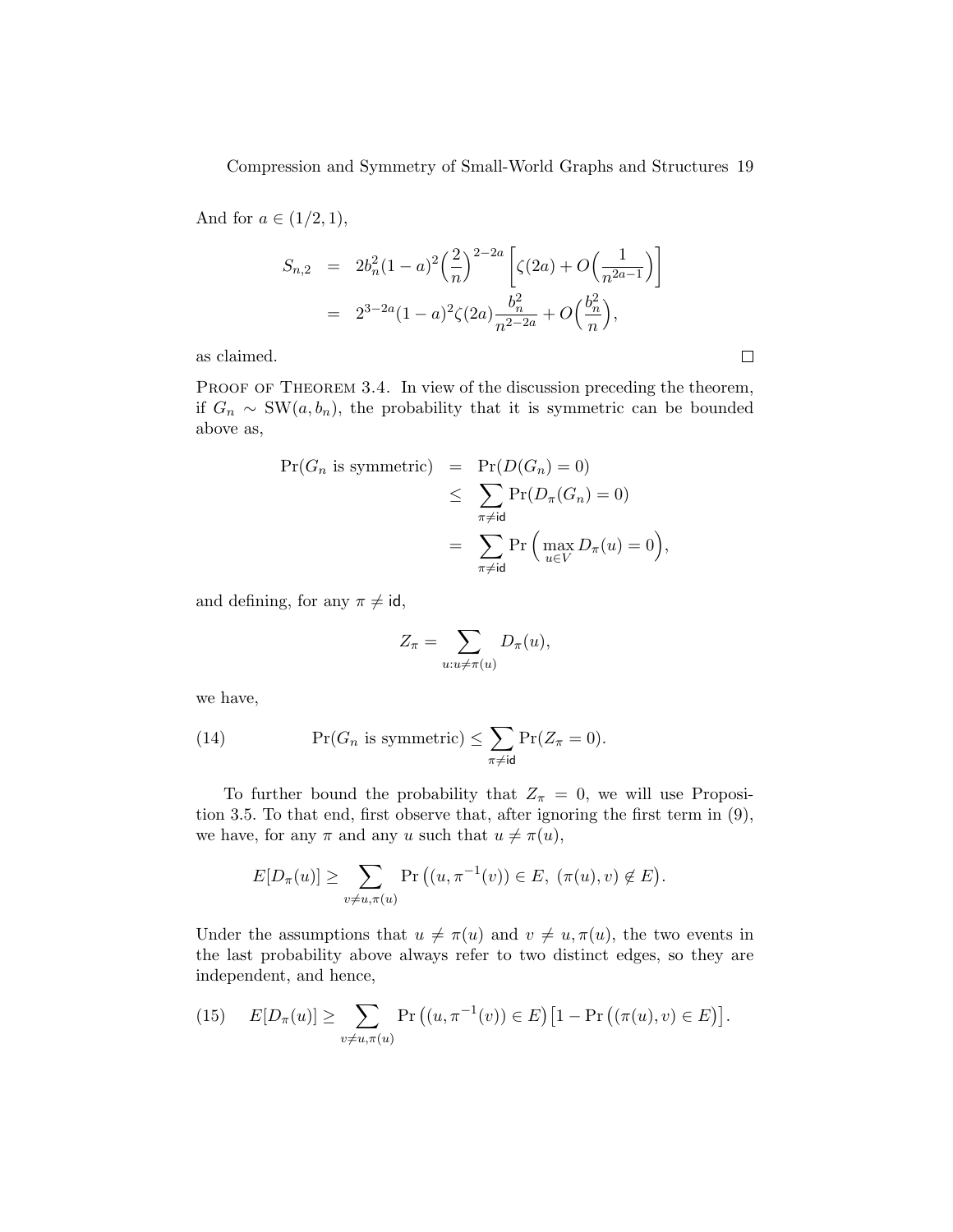And for  $a \in (1/2, 1)$ ,

$$
S_{n,2} = 2b_n^2(1-a)^2\left(\frac{2}{n}\right)^{2-2a}\left[\zeta(2a) + O\left(\frac{1}{n^{2a-1}}\right)\right]
$$
  
=  $2^{3-2a}(1-a)^2\zeta(2a)\frac{b_n^2}{n^{2-2a}} + O\left(\frac{b_n^2}{n}\right),$ 

as claimed.

PROOF OF THEOREM 3.4. In view of the discussion preceding the theorem, if  $G_n \sim \text{SW}(a, b_n)$ , the probability that it is symmetric can be bounded above as,

$$
\Pr(G_n \text{ is symmetric}) = \Pr(D(G_n) = 0)
$$
  
\n
$$
\leq \sum_{\substack{\pi \neq \text{id} \\ \pi \neq \text{id}}} \Pr(D_{\pi}(G_n) = 0)
$$
  
\n
$$
= \sum_{\substack{\pi \neq \text{id} \\ u \in V}} \Pr\left(\max_{u \in V} D_{\pi}(u) = 0\right),
$$

and defining, for any  $\pi \neq id$ ,

$$
Z_{\pi} = \sum_{u:u \neq \pi(u)} D_{\pi}(u),
$$

we have,

(14) 
$$
\Pr(G_n \text{ is symmetric}) \leq \sum_{\pi \neq \text{id}} \Pr(Z_{\pi} = 0).
$$

To further bound the probability that  $Z_{\pi} = 0$ , we will use Proposition 3.5. To that end, first observe that, after ignoring the first term in (9), we have, for any  $\pi$  and any u such that  $u \neq \pi(u)$ ,

$$
E[D_{\pi}(u)] \geq \sum_{v \neq u, \pi(u)} \Pr\left((u, \pi^{-1}(v)) \in E, (\pi(u), v) \notin E\right).
$$

Under the assumptions that  $u \neq \pi(u)$  and  $v \neq u, \pi(u)$ , the two events in the last probability above always refer to two distinct edges, so they are independent, and hence,

(15) 
$$
E[D_{\pi}(u)] \ge \sum_{v \ne u, \pi(u)} \Pr((u, \pi^{-1}(v)) \in E) [1 - \Pr((\pi(u), v) \in E)].
$$

 $\Box$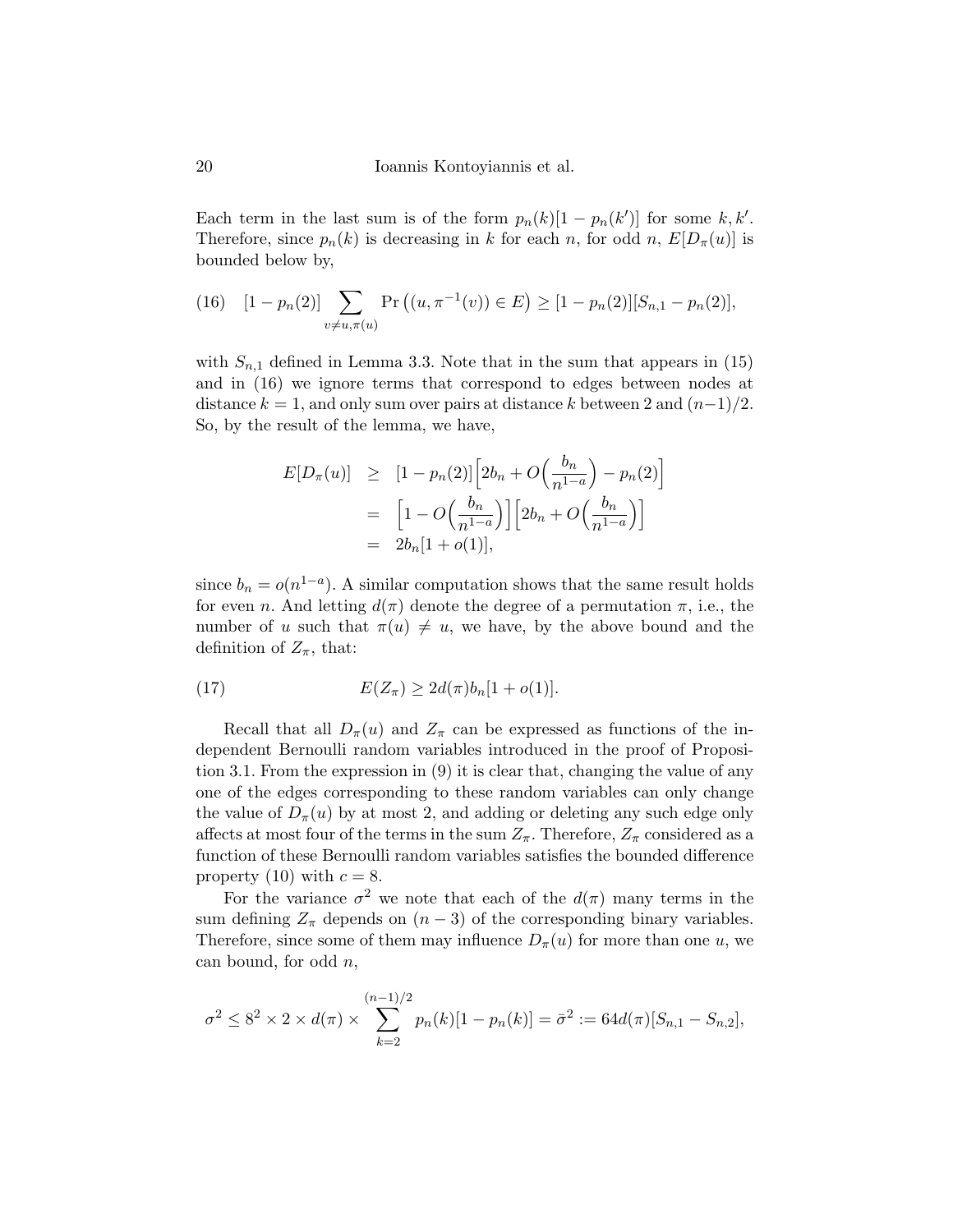20 Ioannis Kontoyiannis et al.

Each term in the last sum is of the form  $p_n(k)[1 - p_n(k')]$  for some k, k'. Therefore, since  $p_n(k)$  is decreasing in k for each n, for odd n,  $E[D_\pi(u)]$  is bounded below by,

(16) 
$$
[1 - p_n(2)] \sum_{v \neq u, \pi(u)} \Pr\left((u, \pi^{-1}(v)) \in E\right) \geq [1 - p_n(2)][S_{n,1} - p_n(2)],
$$

with  $S_{n,1}$  defined in Lemma 3.3. Note that in the sum that appears in (15) and in (16) we ignore terms that correspond to edges between nodes at distance  $k = 1$ , and only sum over pairs at distance k between 2 and  $(n-1)/2$ . So, by the result of the lemma, we have,

$$
E[D_{\pi}(u)] \geq [1 - p_n(2)] \left[ 2b_n + O\left(\frac{b_n}{n^{1-a}}\right) - p_n(2) \right]
$$
  
= 
$$
\left[ 1 - O\left(\frac{b_n}{n^{1-a}}\right) \right] \left[ 2b_n + O\left(\frac{b_n}{n^{1-a}}\right) \right]
$$
  
= 
$$
2b_n[1 + o(1)],
$$

since  $b_n = o(n^{1-a})$ . A similar computation shows that the same result holds for even n. And letting  $d(\pi)$  denote the degree of a permutation  $\pi$ , i.e., the number of u such that  $\pi(u) \neq u$ , we have, by the above bound and the definition of  $Z_{\pi}$ , that:

(17) 
$$
E(Z_{\pi}) \geq 2d(\pi)b_n[1+o(1)].
$$

Recall that all  $D_{\pi}(u)$  and  $Z_{\pi}$  can be expressed as functions of the independent Bernoulli random variables introduced in the proof of Proposition 3.1. From the expression in (9) it is clear that, changing the value of any one of the edges corresponding to these random variables can only change the value of  $D_{\pi}(u)$  by at most 2, and adding or deleting any such edge only affects at most four of the terms in the sum  $Z_{\pi}$ . Therefore,  $Z_{\pi}$  considered as a function of these Bernoulli random variables satisfies the bounded difference property (10) with  $c = 8$ .

For the variance  $\sigma^2$  we note that each of the  $d(\pi)$  many terms in the sum defining  $Z_{\pi}$  depends on  $(n-3)$  of the corresponding binary variables. Therefore, since some of them may influence  $D_{\pi}(u)$  for more than one u, we can bound, for odd  $n$ ,

$$
\sigma^2 \leq 8^2 \times 2 \times d(\pi) \times \sum_{k=2}^{(n-1)/2} p_n(k)[1 - p_n(k)] = \bar{\sigma}^2 := 64d(\pi)[S_{n,1} - S_{n,2}],
$$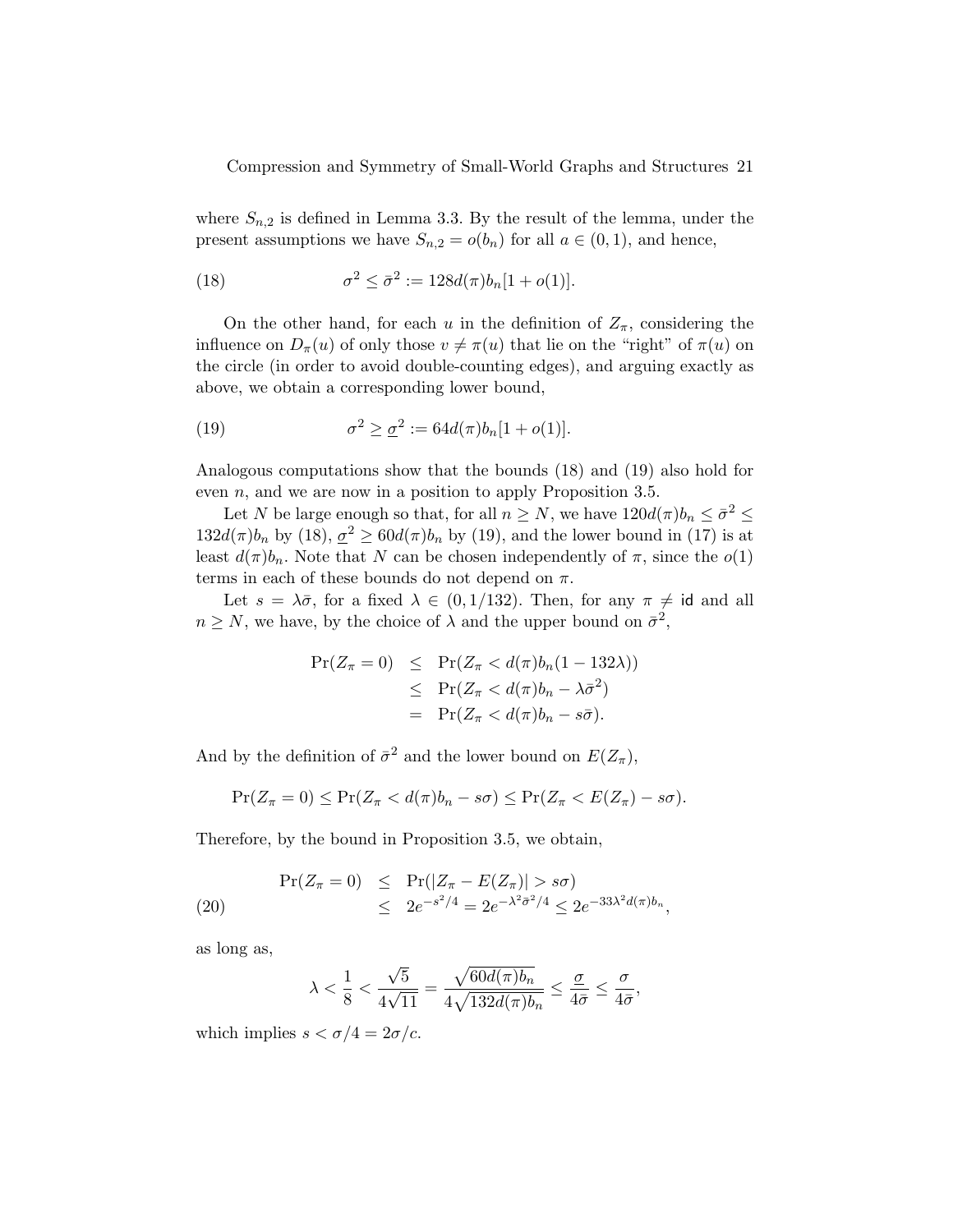where  $S_{n,2}$  is defined in Lemma 3.3. By the result of the lemma, under the present assumptions we have  $S_{n,2} = o(b_n)$  for all  $a \in (0,1)$ , and hence,

(18) 
$$
\sigma^2 \leq \bar{\sigma}^2 := 128d(\pi)b_n[1+o(1)].
$$

On the other hand, for each u in the definition of  $Z_{\pi}$ , considering the influence on  $D_{\pi}(u)$  of only those  $v \neq \pi(u)$  that lie on the "right" of  $\pi(u)$  on the circle (in order to avoid double-counting edges), and arguing exactly as above, we obtain a corresponding lower bound,

(19) 
$$
\sigma^2 \geq \underline{\sigma}^2 := 64d(\pi)b_n[1 + o(1)].
$$

Analogous computations show that the bounds (18) and (19) also hold for even  $n$ , and we are now in a position to apply Proposition 3.5.

Let N be large enough so that, for all  $n \geq N$ , we have  $120d(\pi)b_n \leq \bar{\sigma}^2 \leq$  $132d(\pi)b_n$  by  $(18), \underline{\sigma}^2 \geq 60d(\pi)b_n$  by  $(19)$ , and the lower bound in  $(17)$  is at least  $d(\pi)b_n$ . Note that N can be chosen independently of  $\pi$ , since the  $o(1)$ terms in each of these bounds do not depend on  $\pi$ .

Let  $s = \lambda \bar{\sigma}$ , for a fixed  $\lambda \in (0, 1/132)$ . Then, for any  $\pi \neq id$  and all  $n \geq N$ , we have, by the choice of  $\lambda$  and the upper bound on  $\bar{\sigma}^2$ ,

$$
\begin{array}{rcl}\n\Pr(Z_{\pi} = 0) & \leq & \Pr(Z_{\pi} < d(\pi)b_n(1 - 132\lambda)) \\
& \leq & \Pr(Z_{\pi} < d(\pi)b_n - \lambda\bar{\sigma}^2) \\
& = & \Pr(Z_{\pi} < d(\pi)b_n - s\bar{\sigma}).\n\end{array}
$$

And by the definition of  $\bar{\sigma}^2$  and the lower bound on  $E(Z_{\pi})$ ,

$$
\Pr(Z_{\pi}=0) \leq \Pr(Z_{\pi} < d(\pi)b_n - s\sigma) \leq \Pr(Z_{\pi} < E(Z_{\pi}) - s\sigma).
$$

Therefore, by the bound in Proposition 3.5, we obtain,

$$
\begin{array}{rcl}\n\Pr(Z_{\pi} = 0) & \leq & \Pr(|Z_{\pi} - E(Z_{\pi})| > s\sigma) \\
& \leq & 2e^{-s^2/4} = 2e^{-\lambda^2 \bar{\sigma}^2/4} \leq 2e^{-33\lambda^2 d(\pi)b_n},\n\end{array}
$$

as long as,

$$
\lambda < \frac{1}{8} < \frac{\sqrt{5}}{4\sqrt{11}} = \frac{\sqrt{60d(\pi)b_n}}{4\sqrt{132d(\pi)b_n}} \le \frac{\underline{\sigma}}{4\bar{\sigma}} \le \frac{\sigma}{4\bar{\sigma}},
$$

which implies  $s < \sigma/4 = 2\sigma/c$ .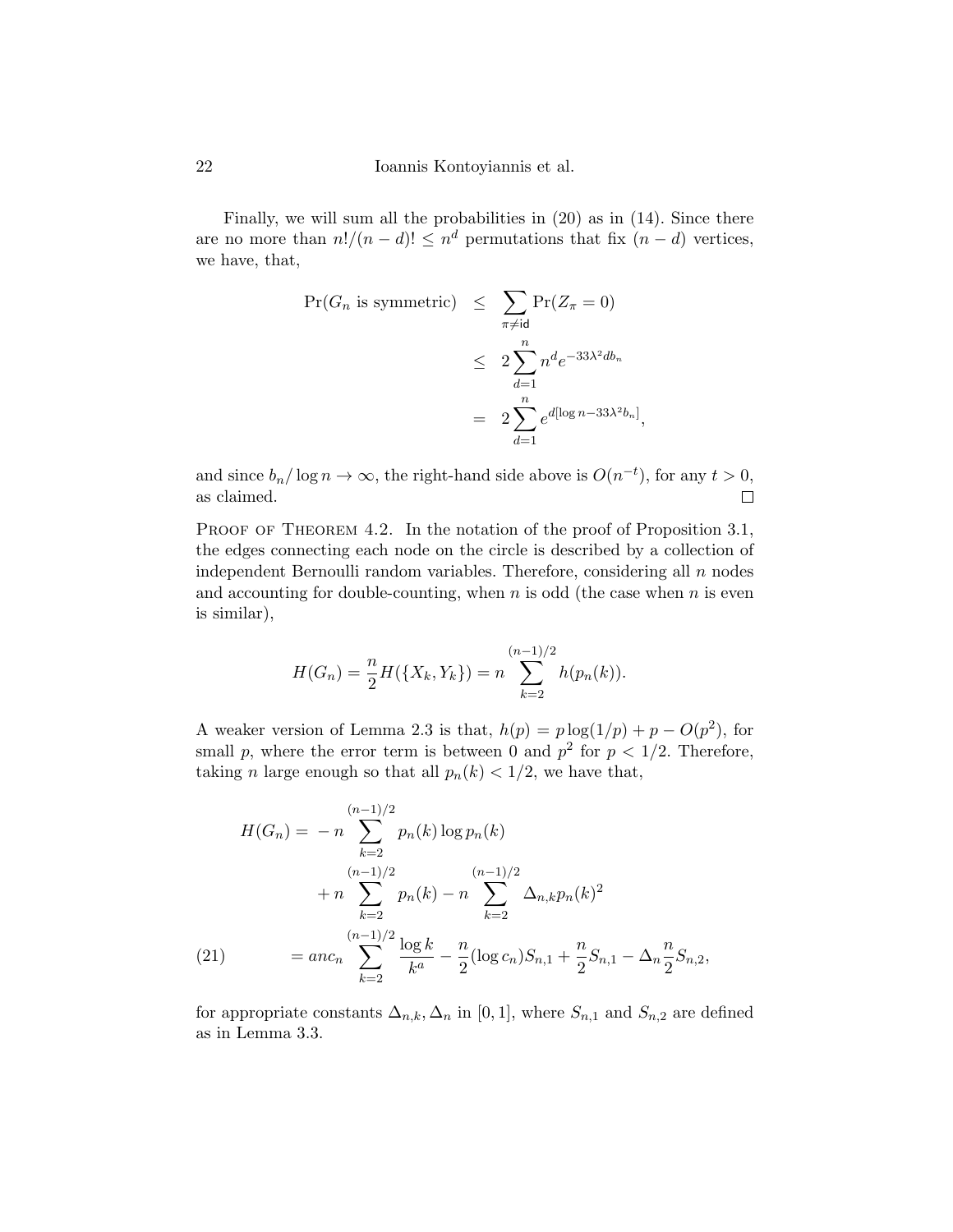Finally, we will sum all the probabilities in (20) as in (14). Since there are no more than  $n!/(n-d)! \leq n^d$  permutations that fix  $(n-d)$  vertices, we have, that,

$$
\begin{aligned} \Pr(G_n \text{ is symmetric}) &\leq \sum_{\pi \neq \text{id}} \Pr(Z_{\pi} = 0) \\ &\leq 2 \sum_{d=1}^n n^d e^{-33\lambda^2 d b_n} \\ &= 2 \sum_{d=1}^n e^{d[\log n - 33\lambda^2 b_n]}, \end{aligned}
$$

and since  $b_n/\log n \to \infty$ , the right-hand side above is  $O(n^{-t})$ , for any  $t > 0$ , as claimed.  $\Box$ 

PROOF OF THEOREM 4.2. In the notation of the proof of Proposition 3.1, the edges connecting each node on the circle is described by a collection of independent Bernoulli random variables. Therefore, considering all  $n$  nodes and accounting for double-counting, when  $n$  is odd (the case when  $n$  is even is similar),

$$
H(G_n) = \frac{n}{2} H(\lbrace X_k, Y_k \rbrace) = n \sum_{k=2}^{(n-1)/2} h(p_n(k)).
$$

A weaker version of Lemma 2.3 is that,  $h(p) = p \log(1/p) + p - O(p^2)$ , for small p, where the error term is between 0 and  $p^2$  for  $p < 1/2$ . Therefore, taking *n* large enough so that all  $p_n(k) < 1/2$ , we have that,

$$
H(G_n) = -n \sum_{k=2}^{(n-1)/2} p_n(k) \log p_n(k)
$$
  
+  $n \sum_{k=2}^{(n-1)/2} p_n(k) - n \sum_{k=2}^{(n-1)/2} \Delta_{n,k} p_n(k)^2$   
(21) 
$$
= anc_n \sum_{k=2}^{(n-1)/2} \frac{\log k}{k^a} - \frac{n}{2} (\log c_n) S_{n,1} + \frac{n}{2} S_{n,1} - \Delta_n \frac{n}{2} S_{n,2},
$$

for appropriate constants  $\Delta_{n,k}, \Delta_n$  in [0, 1], where  $S_{n,1}$  and  $S_{n,2}$  are defined as in Lemma 3.3.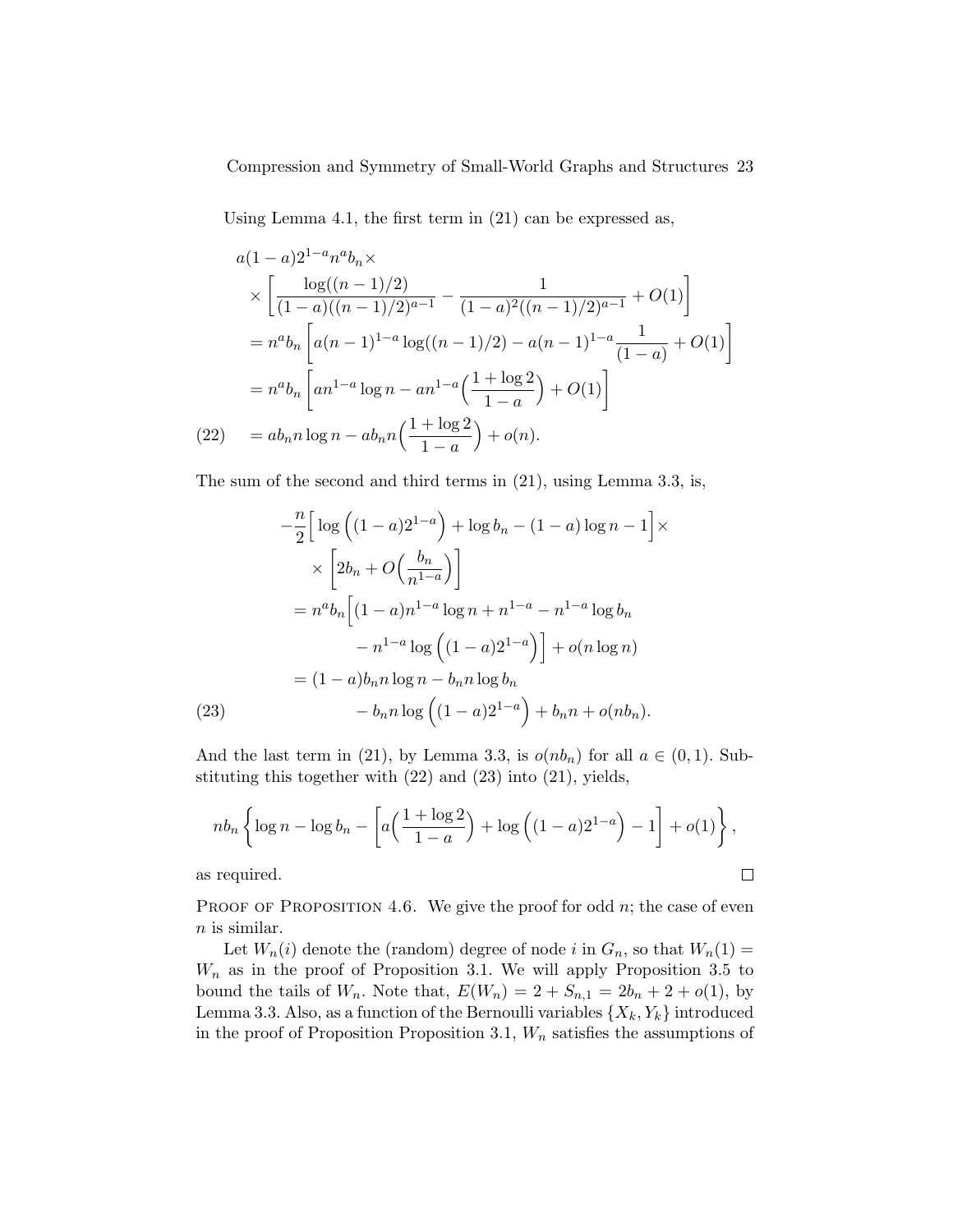Using Lemma 4.1, the first term in (21) can be expressed as,

$$
a(1-a)2^{1-a}n^{a}b_{n} \times
$$
  
\n
$$
\times \left[ \frac{\log((n-1)/2)}{(1-a)((n-1)/2)^{a-1}} - \frac{1}{(1-a)^{2}((n-1)/2)^{a-1}} + O(1) \right]
$$
  
\n
$$
= n^{a}b_{n} \left[ a(n-1)^{1-a} \log((n-1)/2) - a(n-1)^{1-a} \frac{1}{(1-a)} + O(1) \right]
$$
  
\n
$$
= n^{a}b_{n} \left[ a n^{1-a} \log n - a n^{1-a} \left( \frac{1 + \log 2}{1-a} \right) + O(1) \right]
$$
  
\n(22) 
$$
= ab_{n}n \log n - ab_{n}n \left( \frac{1 + \log 2}{1-a} \right) + o(n).
$$

The sum of the second and third terms in (21), using Lemma 3.3, is,

$$
-\frac{n}{2}\left[\log\left((1-a)2^{1-a}\right) + \log b_n - (1-a)\log n - 1\right] \times
$$
  

$$
\times \left[2b_n + O\left(\frac{b_n}{n^{1-a}}\right)\right]
$$
  

$$
= n^a b_n \left[(1-a)n^{1-a}\log n + n^{1-a} - n^{1-a}\log b_n - n^{1-a}\log\left((1-a)2^{1-a}\right)\right] + o(n\log n)
$$
  

$$
= (1-a)b_n n \log n - b_n n \log b_n - b_n n \log\left((1-a)2^{1-a}\right) + b_n n + o(n b_n).
$$
  
(23)

And the last term in (21), by Lemma 3.3, is  $o(nb_n)$  for all  $a \in (0,1)$ . Substituting this together with (22) and (23) into (21), yields,

$$
nb_n \left\{ \log n - \log b_n - \left[ a \left( \frac{1 + \log 2}{1 - a} \right) + \log \left( (1 - a) 2^{1 - a} \right) - 1 \right] + o(1) \right\},\
$$
  
required.

as required.

PROOF OF PROPOSITION 4.6. We give the proof for odd  $n$ ; the case of even  $n$  is similar.

Let  $W_n(i)$  denote the (random) degree of node i in  $G_n$ , so that  $W_n(1)$  =  $W_n$  as in the proof of Proposition 3.1. We will apply Proposition 3.5 to bound the tails of  $W_n$ . Note that,  $E(W_n) = 2 + S_{n,1} = 2b_n + 2 + o(1)$ , by Lemma 3.3. Also, as a function of the Bernoulli variables  $\{X_k, Y_k\}$  introduced in the proof of Proposition Proposition 3.1,  $W_n$  satisfies the assumptions of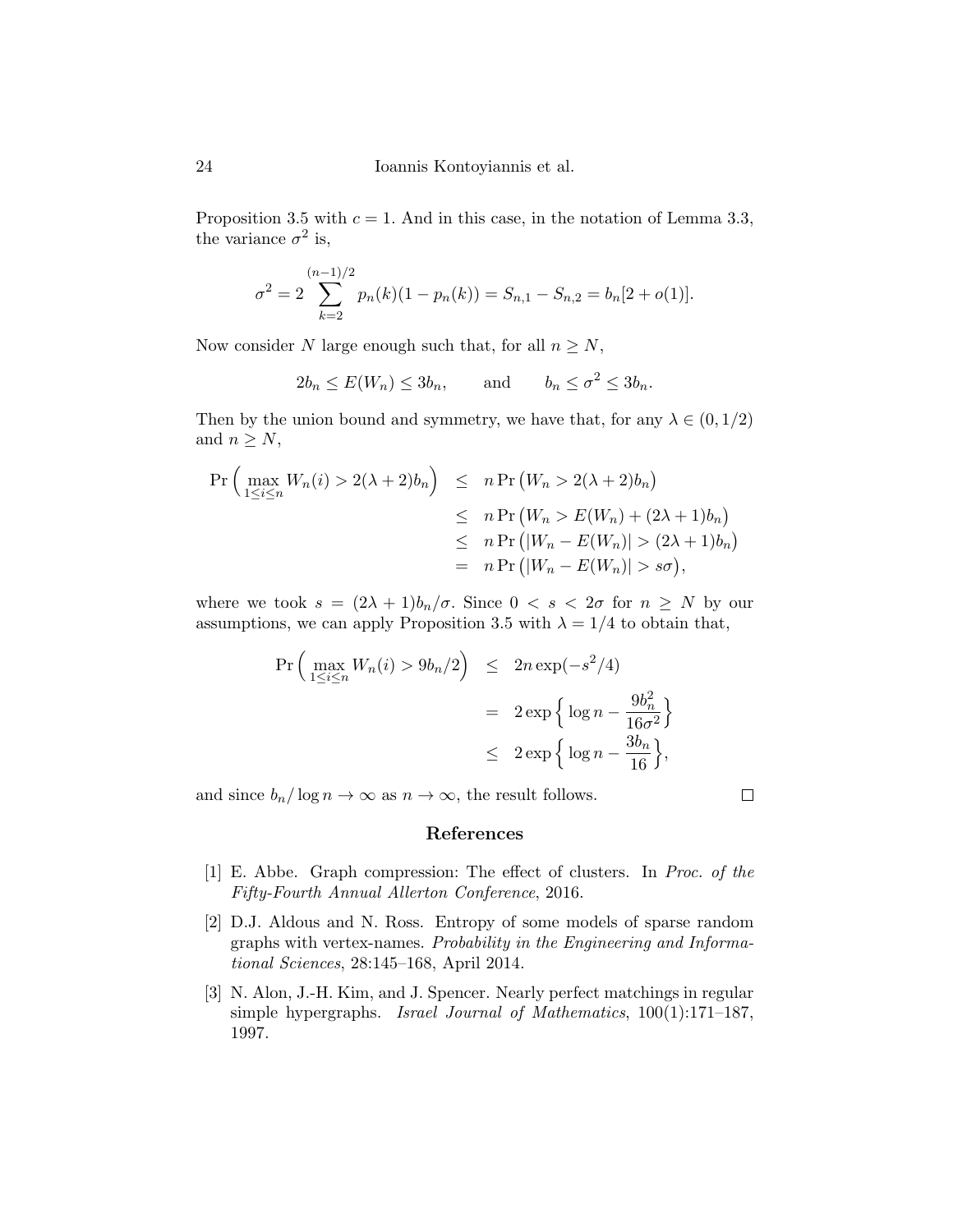Proposition 3.5 with  $c = 1$ . And in this case, in the notation of Lemma 3.3, the variance  $\sigma^2$  is,

$$
\sigma^{2} = 2 \sum_{k=2}^{(n-1)/2} p_{n}(k)(1 - p_{n}(k)) = S_{n,1} - S_{n,2} = b_{n}[2 + o(1)].
$$

Now consider  $N$  large enough such that, for all  $n\geq N,$ 

$$
2b_n \le E(W_n) \le 3b_n
$$
, and  $b_n \le \sigma^2 \le 3b_n$ .

Then by the union bound and symmetry, we have that, for any  $\lambda \in (0, 1/2)$ and  $n \geq N$ ,

$$
\Pr\left(\max_{1\leq i\leq n} W_n(i) > 2(\lambda+2)b_n\right) \leq n \Pr\left(W_n > 2(\lambda+2)b_n\right) \\
\leq n \Pr\left(W_n > E(W_n) + (2\lambda+1)b_n\right) \\
\leq n \Pr\left(|W_n - E(W_n)| > (2\lambda+1)b_n\right) \\
= n \Pr\left(|W_n - E(W_n)| > s\sigma\right),
$$

where we took  $s = (2\lambda + 1)b_n/\sigma$ . Since  $0 < s < 2\sigma$  for  $n \geq N$  by our assumptions, we can apply Proposition 3.5 with  $\lambda = 1/4$  to obtain that,

$$
\begin{aligned} \Pr\left(\max_{1 \le i \le n} W_n(i) > 9b_n/2\right) &\le 2n \exp(-s^2/4) \\ &= 2 \exp\left\{\log n - \frac{9b_n^2}{16\sigma^2}\right\} \\ &\le 2 \exp\left\{\log n - \frac{3b_n}{16}\right\}, \end{aligned}
$$

and since  $b_n/\log n \to \infty$  as  $n \to \infty$ , the result follows.

 $\Box$ 

# References

- [1] E. Abbe. Graph compression: The effect of clusters. In Proc. of the Fifty-Fourth Annual Allerton Conference, 2016.
- [2] D.J. Aldous and N. Ross. Entropy of some models of sparse random graphs with vertex-names. Probability in the Engineering and Informational Sciences, 28:145–168, April 2014.
- [3] N. Alon, J.-H. Kim, and J. Spencer. Nearly perfect matchings in regular simple hypergraphs. Israel Journal of Mathematics, 100(1):171–187, 1997.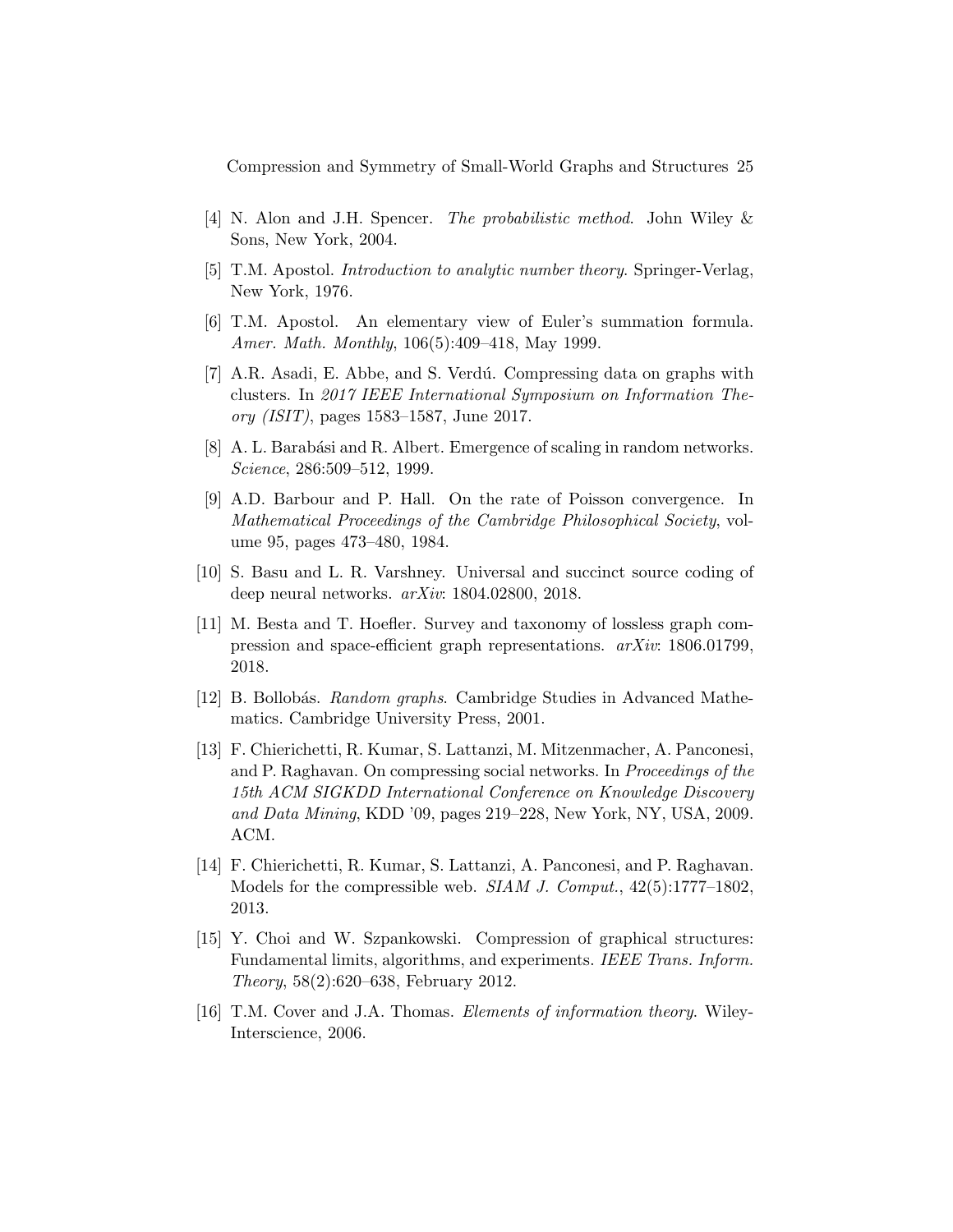- [4] N. Alon and J.H. Spencer. The probabilistic method. John Wiley & Sons, New York, 2004.
- [5] T.M. Apostol. Introduction to analytic number theory. Springer-Verlag, New York, 1976.
- [6] T.M. Apostol. An elementary view of Euler's summation formula. Amer. Math. Monthly, 106(5):409–418, May 1999.
- [7] A.R. Asadi, E. Abbe, and S. Verd´u. Compressing data on graphs with clusters. In 2017 IEEE International Symposium on Information Theory (ISIT), pages 1583–1587, June 2017.
- [8] A. L. Barabási and R. Albert. Emergence of scaling in random networks. Science, 286:509–512, 1999.
- [9] A.D. Barbour and P. Hall. On the rate of Poisson convergence. In Mathematical Proceedings of the Cambridge Philosophical Society, volume 95, pages 473–480, 1984.
- [10] S. Basu and L. R. Varshney. Universal and succinct source coding of deep neural networks. arXiv: 1804.02800, 2018.
- [11] M. Besta and T. Hoefler. Survey and taxonomy of lossless graph compression and space-efficient graph representations. arXiv: 1806.01799, 2018.
- [12] B. Bollobás. Random graphs. Cambridge Studies in Advanced Mathematics. Cambridge University Press, 2001.
- [13] F. Chierichetti, R. Kumar, S. Lattanzi, M. Mitzenmacher, A. Panconesi, and P. Raghavan. On compressing social networks. In Proceedings of the 15th ACM SIGKDD International Conference on Knowledge Discovery and Data Mining, KDD '09, pages 219–228, New York, NY, USA, 2009. ACM.
- [14] F. Chierichetti, R. Kumar, S. Lattanzi, A. Panconesi, and P. Raghavan. Models for the compressible web. *SIAM J. Comput.*,  $42(5):1777-1802$ , 2013.
- [15] Y. Choi and W. Szpankowski. Compression of graphical structures: Fundamental limits, algorithms, and experiments. IEEE Trans. Inform. Theory, 58(2):620–638, February 2012.
- [16] T.M. Cover and J.A. Thomas. Elements of information theory. Wiley-Interscience, 2006.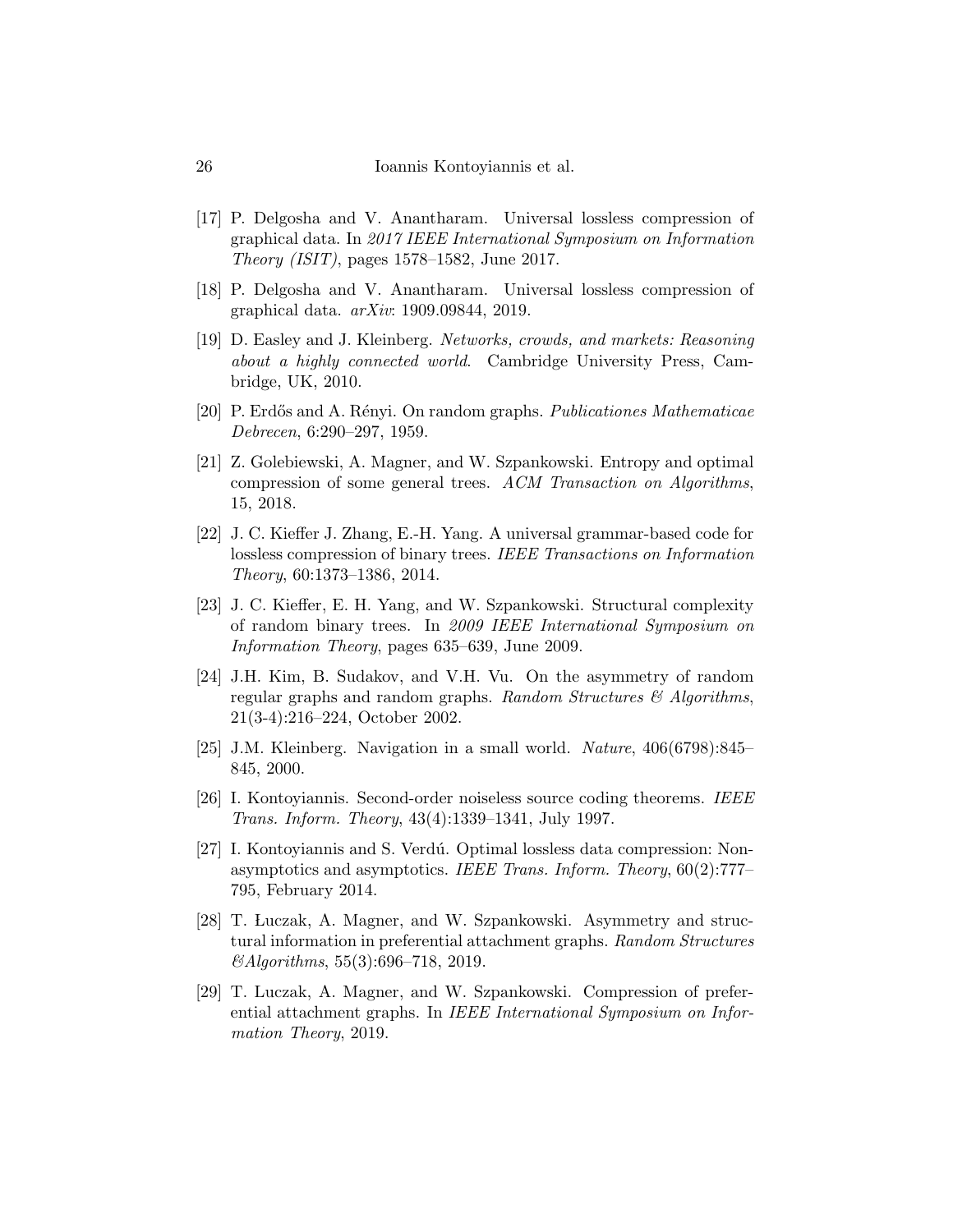- [17] P. Delgosha and V. Anantharam. Universal lossless compression of graphical data. In 2017 IEEE International Symposium on Information Theory (ISIT), pages 1578–1582, June 2017.
- [18] P. Delgosha and V. Anantharam. Universal lossless compression of graphical data. arXiv: 1909.09844, 2019.
- [19] D. Easley and J. Kleinberg. Networks, crowds, and markets: Reasoning about a highly connected world. Cambridge University Press, Cambridge, UK, 2010.
- [20] P. Erdős and A. Rényi. On random graphs. Publicationes Mathematicae Debrecen, 6:290–297, 1959.
- [21] Z. Golebiewski, A. Magner, and W. Szpankowski. Entropy and optimal compression of some general trees. ACM Transaction on Algorithms, 15, 2018.
- [22] J. C. Kieffer J. Zhang, E.-H. Yang. A universal grammar-based code for lossless compression of binary trees. IEEE Transactions on Information Theory, 60:1373–1386, 2014.
- [23] J. C. Kieffer, E. H. Yang, and W. Szpankowski. Structural complexity of random binary trees. In 2009 IEEE International Symposium on Information Theory, pages 635–639, June 2009.
- [24] J.H. Kim, B. Sudakov, and V.H. Vu. On the asymmetry of random regular graphs and random graphs. Random Structures  $\mathcal{B}$  Algorithms, 21(3-4):216–224, October 2002.
- [25] J.M. Kleinberg. Navigation in a small world. Nature, 406(6798):845– 845, 2000.
- [26] I. Kontoyiannis. Second-order noiseless source coding theorems. IEEE Trans. Inform. Theory, 43(4):1339–1341, July 1997.
- [27] I. Kontoyiannis and S. Verdú. Optimal lossless data compression: Nonasymptotics and asymptotics. IEEE Trans. Inform. Theory,  $60(2)$ :777– 795, February 2014.
- [28] T. Luczak, A. Magner, and W. Szpankowski. Asymmetry and structural information in preferential attachment graphs. Random Structures &Algorithms, 55(3):696–718, 2019.
- [29] T. Luczak, A. Magner, and W. Szpankowski. Compression of preferential attachment graphs. In IEEE International Symposium on Information Theory, 2019.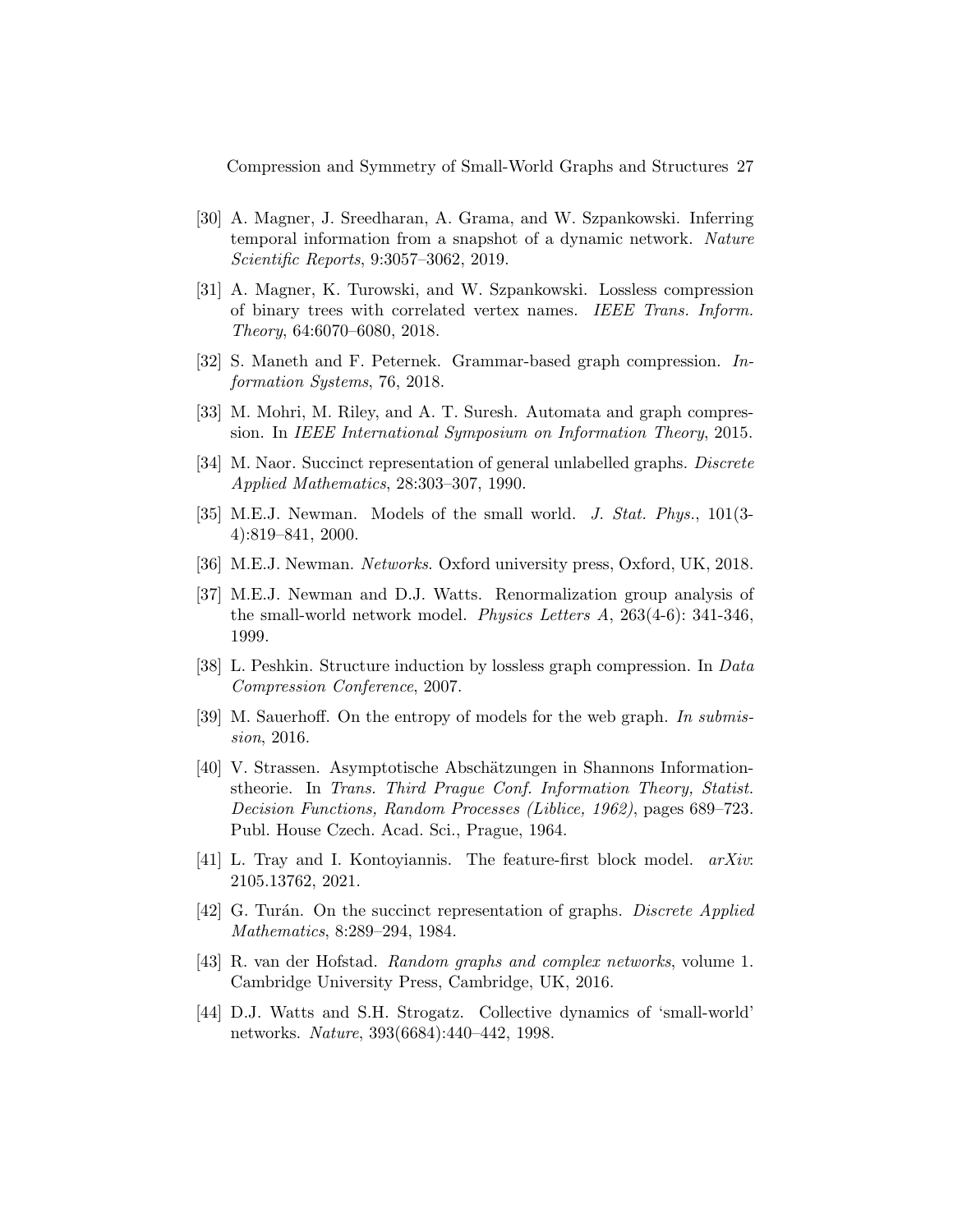- [30] A. Magner, J. Sreedharan, A. Grama, and W. Szpankowski. Inferring temporal information from a snapshot of a dynamic network. Nature Scientific Reports, 9:3057–3062, 2019.
- [31] A. Magner, K. Turowski, and W. Szpankowski. Lossless compression of binary trees with correlated vertex names. IEEE Trans. Inform. Theory, 64:6070–6080, 2018.
- [32] S. Maneth and F. Peternek. Grammar-based graph compression. Information Systems, 76, 2018.
- [33] M. Mohri, M. Riley, and A. T. Suresh. Automata and graph compression. In IEEE International Symposium on Information Theory, 2015.
- [34] M. Naor. Succinct representation of general unlabelled graphs. *Discrete* Applied Mathematics, 28:303–307, 1990.
- [35] M.E.J. Newman. Models of the small world. J. Stat. Phys., 101(3- 4):819–841, 2000.
- [36] M.E.J. Newman. Networks. Oxford university press, Oxford, UK, 2018.
- [37] M.E.J. Newman and D.J. Watts. Renormalization group analysis of the small-world network model. Physics Letters A, 263(4-6): 341-346, 1999.
- [38] L. Peshkin. Structure induction by lossless graph compression. In Data Compression Conference, 2007.
- [39] M. Sauerhoff. On the entropy of models for the web graph. In submission, 2016.
- [40] V. Strassen. Asymptotische Abschätzungen in Shannons Informationstheorie. In Trans. Third Prague Conf. Information Theory, Statist. Decision Functions, Random Processes (Liblice, 1962), pages 689–723. Publ. House Czech. Acad. Sci., Prague, 1964.
- [41] L. Tray and I. Kontoyiannis. The feature-first block model. arXiv: 2105.13762, 2021.
- [42] G. Turán. On the succinct representation of graphs. Discrete Applied Mathematics, 8:289–294, 1984.
- [43] R. van der Hofstad. Random graphs and complex networks, volume 1. Cambridge University Press, Cambridge, UK, 2016.
- [44] D.J. Watts and S.H. Strogatz. Collective dynamics of 'small-world' networks. Nature, 393(6684):440–442, 1998.